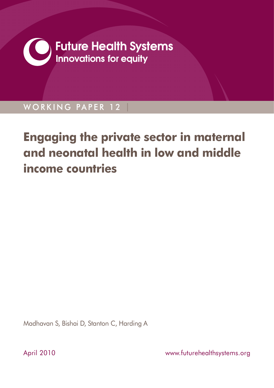

WORKING PAPER 12

# **Engaging the private sector in maternal and neonatal health in low and middle income countries**

Madhavan S, Bishai D, Stanton C, Harding A

April 2010 **April 2010 www.futurehealthsystems.org**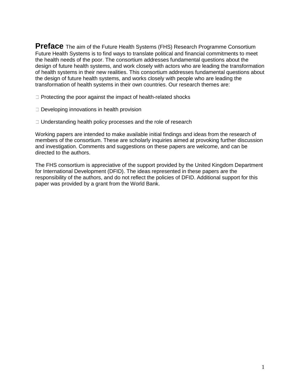**Preface** The aim of the Future Health Systems (FHS) Research Programme Consortium Future Health Systems is to find ways to translate political and financial commitments to meet the health needs of the poor. The consortium addresses fundamental questions about the design of future health systems, and work closely with actors who are leading the transformation of health systems in their new realities. This consortium addresses fundamental questions about the design of future health systems, and works closely with people who are leading the transformation of health systems in their own countries. Our research themes are:

- $\exists$  Protecting the poor against the impact of health-related shocks
- $\Box$  Developing innovations in health provision
- $\exists$  Understanding health policy processes and the role of research

Working papers are intended to make available initial findings and ideas from the research of members of the consortium. These are scholarly inquiries aimed at provoking further discussion and investigation. Comments and suggestions on these papers are welcome, and can be directed to the authors.

The FHS consortium is appreciative of the support provided by the United Kingdom Department for International Development (DFID). The ideas represented in these papers are the responsibility of the authors, and do not reflect the policies of DFID. Additional support for this paper was provided by a grant from the World Bank.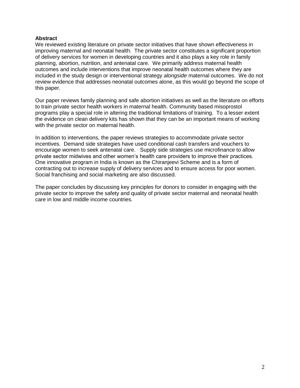## **Abstract**

We reviewed existing literature on private sector initiatives that have shown effectiveness in improving maternal and neonatal health. The private sector constitutes a significant proportion of delivery services for women in developing countries and it also plays a key role in family planning, abortion, nutrition, and antenatal care. We primarily address maternal health outcomes and include interventions that improve neonatal health outcomes where they are included in the study design or interventional strategy *alongside* maternal outcomes. We do not review evidence that addresses neonatal outcomes alone, as this would go beyond the scope of this paper.

Our paper reviews family planning and safe abortion initiatives as well as the literature on efforts to train private sector health workers in maternal health. Community based misoprostol programs play a special role in altering the traditional limitations of training. To a lesser extent the evidence on clean delivery kits has shown that they can be an important means of working with the private sector on maternal health.

In addition to interventions, the paper reviews strategies to accommodate private sector incentives. Demand side strategies have used conditional cash transfers and vouchers to encourage women to seek antenatal care. Supply side strategies use microfinance to allow private sector midwives and other women's health care providers to improve their practices. One innovative program in India is known as the Chiranjeevi Scheme and is a form of contracting out to increase supply of delivery services and to ensure access for poor women. Social franchising and social marketing are also discussed.

The paper concludes by discussing key principles for donors to consider in engaging with the private sector to improve the safety and quality of private sector maternal and neonatal health care in low and middle income countries.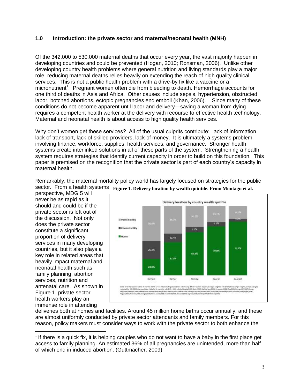## **1.0 Introduction: the private sector and maternal/neonatal health (MNH)**

Of the 342,000 to 530,000 maternal deaths that occur every year, the vast majority happen in developing countries and could be prevented (Hogan, 2010; Ronsman, 2006). Unlike other developing country health problems where general nutrition and living standards play a major role, reducing maternal deaths relies heavily on extending the reach of high quality clinical services. This is not a public health problem with a drive-by fix like a vaccine or a micronutrient<sup>1</sup>. Pregnant women often die from bleeding to death. Hemorrhage accounts for one third of deaths in Asia and Africa. Other causes include sepsis, hypertension, obstructed labor, botched abortions, ectopic pregnancies end emboli (Khan, 2006). Since many of these conditions do not become apparent until labor and delivery—saving a woman from dying requires a competent health worker at the delivery with recourse to effective health technology. Maternal and neonatal health is about access to high quality health services.

Why don't women get these services? All of the usual culprits contribute: lack of information, lack of transport, lack of skilled providers, lack of money. It is ultimately a systems problem involving finance, workforce, supplies, health services, and governance. Stronger health systems create interlinked solutions in all of these parts of the system. Strengthening a health system requires strategies that identify current capacity in order to build on this foundation. This paper is premised on the recognition that the private sector is part of each country's capacity in maternal health.

Remarkably, the maternal mortality policy world has largely focused on strategies for the public sector. From a health systems Figure 1. Delivery location by wealth quintile. From Montagu et al.

perspective, MDG 5 will never be as rapid as it should and could be if the private sector is left out of the discussion. Not only does the private sector constitute a significant proportion of delivery services in many developing countries, but it also plays a key role in related areas that heavily impact maternal and neonatal health such as family planning, abortion services, nutrition and antenatal care. As shown in Figure 1. private sector health workers play an immense role in attending

 $\overline{a}$ 



deliveries both at homes and facilities. Around 45 million home births occur annually, and these are almost uniformly conducted by private sector attendants and family members. For this reason, policy makers must consider ways to work with the private sector to both enhance the

 $1$  If there is a quick fix, it is helping couples who do not want to have a baby in the first place get access to family planning. An estimated 36% of all pregnancies are unintended, more than half of which end in induced abortion. (Guttmacher, 2009)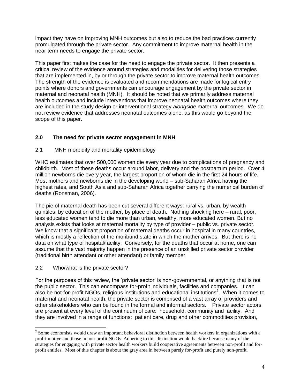impact they have on improving MNH outcomes but also to reduce the bad practices currently promulgated through the private sector. Any commitment to improve maternal health in the near term needs to engage the private sector.

This paper first makes the case for the need to engage the private sector. It then presents a critical review of the evidence around strategies and modalities for delivering those strategies that are implemented in, by or through the private sector to improve maternal health outcomes. The strength of the evidence is evaluated and recommendations are made for logical entry points where donors and governments can encourage engagement by the private sector in maternal and neonatal health (MNH). It should be noted that we primarily address maternal health outcomes and include interventions that improve neonatal health outcomes where they are included in the study design or interventional strategy *alongside* maternal outcomes. We do not review evidence that addresses neonatal outcomes alone, as this would go beyond the scope of this paper.

# **2.0 The need for private sector engagement in MNH**

# 2.1 MNH morbidity and mortality epidemiology

WHO estimates that over 500,000 women die every year due to complications of pregnancy and childbirth. Most of these deaths occur around labor, delivery and the postpartum period. Over 4 million newborns die every year, the largest proportion of whom die in the first 24 hours of life. Most mothers and newborns die in the developing world – sub-Saharan Africa having the highest rates, and South Asia and sub-Saharan Africa together carrying the numerical burden of deaths (Ronsman, 2006).

The pie of maternal death has been cut several different ways: rural vs. urban, by wealth quintiles, by education of the mother, by place of death. Nothing shocking here – rural, poor, less educated women tend to die more than urban, wealthy, more educated women. But no analysis exists that looks at maternal mortality by type of provider – public vs. private sector. We know that a significant proportion of maternal deaths occur in hospital in many countries, which is mostly a reflection of the moribund state in which the mother arrives. But there is no data on what type of hospital/facility. Conversely, for the deaths that occur at home, one can assume that the vast majority happen in the presence of an unskilled private sector provider (traditional birth attendant or other attendant) or family member.

## 2.2 Who/what is the private sector?

 $\overline{a}$ 

For the purposes of this review, the 'private sector' is non-governmental, or anything that is not the public sector. This can encompass for-profit individuals, facilities and companies. It can also be not-for-profit NGOs, religious institutions and educational institutions<sup>2</sup>. When it comes to maternal and neonatal health, the private sector is comprised of a vast array of providers and other stakeholders who can be found in the formal and informal sectors. Private sector actors are present at every level of the continuum of care: household, community and facility. And they are involved in a range of functions: patient care, drug and other commodities provision,

 $2^{2}$  Some economists would draw an important behavioral distinction between health workers in organizations with a profit-motive and those in non-profit NGOs. Adhering to this distinction would backfire because many of the strategies for engaging with private sector health workers build cooperative agreements between non-profit and forprofit entities. Most of this chapter is about the gray area in between purely for-profit and purely non-profit.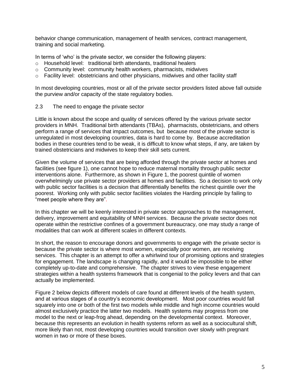behavior change communication, management of health services, contract management, training and social marketing.

In terms of 'who' is the private sector, we consider the following players:

- o Household level: traditional birth attendants, traditional healers
- o Community level: community health workers, pharmacists, midwives
- o Facility level: obstetricians and other physicians, midwives and other facility staff

In most developing countries, most or all of the private sector providers listed above fall outside the purview and/or capacity of the state regulatory bodies.

2.3 The need to engage the private sector

Little is known about the scope and quality of services offered by the various private sector providers in MNH. Traditional birth attendants (TBAs), pharmacists, obstetricians, and others perform a range of services that impact outcomes, but because most of the private sector is unregulated in most developing countries, data is hard to come by. Because accreditation bodies in these countries tend to be weak, it is difficult to know what steps, if any, are taken by trained obstetricians and midwives to keep their skill sets current.

Given the volume of services that are being afforded through the private sector at homes and facilities (see figure 1), one cannot hope to reduce maternal mortality through public sector interventions alone. Furthermore, as shown in Figure 1, the poorest quintile of women overwhelmingly use private sector providers at homes and facilities. So a decision to work only with public sector facilities is a decision that differentially benefits the richest quintile over the poorest. Working only with public sector facilities violates the Harding principle by failing to "meet people where they are".

In this chapter we will be keenly interested in private sector approaches to the management, delivery, improvement and equitability of MNH services. Because the private sector does not operate within the restrictive confines of a government bureaucracy, one may study a range of modalities that can work at different scales in different contexts.

In short, the reason to encourage donors and governments to engage with the private sector is because the private sector is where most women, especially poor women, are receiving services. This chapter is an attempt to offer a whirlwind tour of promising options and strategies for engagement. The landscape is changing rapidly, and it would be impossible to be either completely up-to-date and comprehensive. The chapter strives to view these engagement strategies within a health systems framework that is congenial to the policy levers and that can actually be implemented.

Figure 2 below depicts different models of care found at different levels of the health system, and at various stages of a country's economic development. Most poor countries would fall squarely into one or both of the first two models while middle and high income countries would almost exclusively practice the latter two models. Health systems may progress from one model to the next or leap-frog ahead, depending on the developmental context. Moreover, because this represents an evolution in health systems reform as well as a sociocultural shift, more likely than not, most developing countries would transition over slowly with pregnant women in two or more of these boxes.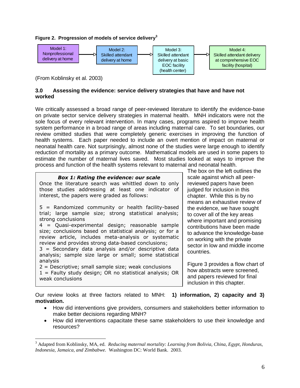## **Figure 2. Progression of models of service delivery<sup>3</sup>**



(From Koblinsky et al. 2003)

 $\overline{a}$ 

## **3.0 Assessing the evidence: service delivery strategies that have and have not worked**

We critically assessed a broad range of peer-reviewed literature to identify the evidence-base on private sector service delivery strategies in maternal health. MNH indicators were not the sole focus of every relevant intervention. In many cases, programs aspired to improve health system performance in a broad range of areas including maternal care. To set boundaries, our review omitted studies that were completely generic exercises in improving the function of health systems. Each paper needed to include an overt mention of impact on maternal or neonatal health care. Not surprisingly, almost none of the studies were large enough to identify reduction of mortality as a primary outcome. Mathematical models are used in some papers to estimate the number of maternal lives saved. Most studies looked at ways to improve the process and function of the health systems relevant to maternal and neonatal health.

| <b>Box 1: Rating the evidence: our scale</b><br>Once the literature search was whittled down to only<br>those studies addressing at least one indicator of<br>interest, the papers were graded as follows:                  |
|-----------------------------------------------------------------------------------------------------------------------------------------------------------------------------------------------------------------------------|
| 5 = Randomized community or health facility-based<br>trial; large sample size; strong statistical analysis;<br>strong conclusions                                                                                           |
| 4 = Quasi-experimental design; reasonable sample<br>size; conclusions based on statistical analysis; or for a<br>review article, includes meta-analysis or systematic<br>review and provides strong data-based conclusions; |
| $3$ = Secondary data analysis and/or descriptive data<br>analysis; sample size large or small; some statistical<br>analysis                                                                                                 |
| $2$ = Descriptive; small sample size; weak conclusions<br>$1$ = Faulty study design; OR no statistical analysis; OR<br>weak conclusions                                                                                     |

The box on the left outlines the scale against which all peerreviewed papers have been judged for inclusion in this chapter. While this is by no means an exhaustive review of the evidence, we have sought to cover all of the key areas where important and promising contributions have been made to advance the knowledge-base on working with the private sector in low and middle income countries.

Figure 3 provides a flow chart of how abstracts were screened, and papers reviewed for final inclusion in this chapter.

Our review looks at three factors related to MNH: **1) information, 2) capacity and 3) motivation.**

- How did interventions give providers, consumers and stakeholders better information to make better decisions regarding MNH?
- How did interventions capacitate these same stakeholders to use their knowledge and resources?

<sup>3</sup> Adapted from Koblinsky, MA, ed. *Reducing maternal mortality: Learning from Bolivia, China, Egypt, Honduras, Indonesia, Jamaica, and Zimbabwe.* Washington DC: World Bank. 2003.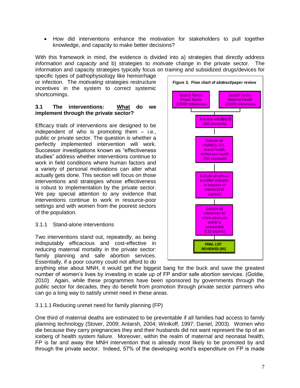How did interventions enhance the motivation for stakeholders to pull together knowledge, and capacity to make better decisions?

With this framework in mind, the evidence is divided into a) strategies that directly address *information and capacity* and b) strategies to *motivate* change in the private sector. The information and capacity strategies typically focus on training and subsidized drugs/devices for

specific types of pathophysiology like hemorrhage or infection. The *motivating* strategies restructure incentives in the system to correct systemic shortcomings.

## **3.1 The interventions: What do we implement through the private sector?**

Efficacy trials of interventions are designed to be independent of who is promoting them – i.e., public or private sector. The question is whether a perfectly implemented intervention will work. Successor investigations known as "effectiveness" studies" address whether interventions continue to work in field conditions where human factors and a variety of personal motivations can alter what actually gets done. This section will focus on those interventions and strategies whose effectiveness is robust to implementation by the private sector. We pay special attention to any evidence that interventions continue to work in resource-poor settings and with women from the poorest sectors of the population.

# 3.1.1 Stand-alone interventions

Two interventions stand out, repeatedly, as being indisputably efficacious and cost-effective in reducing maternal mortality in the private sector: family planning and safe abortion services. Essentially, if a poor country could not afford to do



## 3.1.1.1 Reducing unmet need for family planning (FP)

One third of maternal deaths are estimated to be preventable if all families had access to family planning technology (Stover, 2009; Antarsh, 2004; Winikoff, 1997; Daniel, 2003). Women who die because they carry pregnancies they and their husbands did not want represent the tip of an iceberg of health system failure. Moreover, within the realm of maternal and neonatal health, FP is far and away the MNH intervention that is already most likely to be promoted by and through the private sector. Indeed, 57% of the developing world's expenditure on FP is made

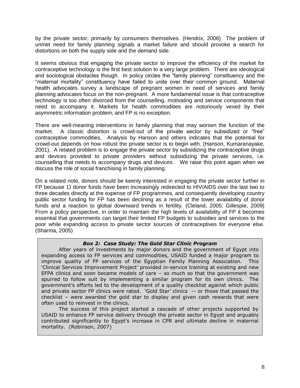by the private sector, primarily by consumers themselves. (Hendrix, 2006) The problem of unmet need for family planning signals a market failure and should provoke a search for distortions on both the supply side and the demand side.

It seems obvious that engaging the private sector to improve the efficiency of the market for contraceptive technology is the first best solution to a very large problem. There are ideological and sociological obstacles though. In policy circles the "family planning" constituency and the "maternal mortality" constituency have failed to unite over their common ground. Maternal health advocates survey a landscape of pregnant women in need of services and family planning advocates focus on the non-pregnant. A more fundamental issue is that contraceptive technology is too often divorced from the counselling, motivating and service components that need to accompany it. Markets for health commodities are notoriously vexed by their asymmetric information problem, and FP is no exception.

There are well-meaning interventions in family planning that may worsen the function of the market. A classic distortion is crowd-out of the private sector by subsidized or "free" contraceptive commodities. Analysis by Hanson and others indicates that the potential for crowd-out depends on how robust the private sector is to begin with. (Hanson, Kumaranayake, 2001). A related problem is to engage the private sector by subsidizing the contraceptive drugs and devices provided to private providers without subsidizing the private services, i.e. counselling that needs to accompany drugs and devices. We raise this point again when we discuss the role of social franchising in family planning.

On a related note, donors should be keenly interested in engaging the private sector further in FP because 1) donor funds have been increasingly redirected to HIV/AIDS over the last two to three decades directly at the expense of FP programmes, and consequently developing country public sector funding for FP has been declining as a result of the lower availability of donor funds and a reaction to global downward trends in fertility. (Cleland, 2005; Gillespie, 2009) From a policy perspective, in order to maintain the high levels of availability of FP it becomes essential that governments can target their limited FP budgets to subsidies and services to the poor while expanding access to private sector sources of contraceptives for everyone else. (Sharma, 2005)

## *Box 2: Case Study: The Gold Star Clinic Program*

After years of investments by major donors and the government of Egypt into expanding access to FP services and commodities, USAID funded a major program to improve quality of FP services of the Egyptian Family Planning Association. This 'Clinical Services Improvement Project' provided in-service training at existing and new EFPA clinics and soon became models of care – so much so that the government was spurred to follow suit by implementing a similar program for its own clinics. The government's efforts led to the development of a quality checklist against which public and private sector FP clinics were rated. 'Gold Star' clinics -- or those that passed the checklist – were awarded the gold star to display and given cash rewards that were often used to reinvest in the clinics.

The success of this project started a cascade of other projects supported by USAID to enhance FP service delivery through the private sector in Egypt and arguably contributed significantly to Egypt's increase in CPR and ultimate decline in maternal mortality. (Robinson, 2007)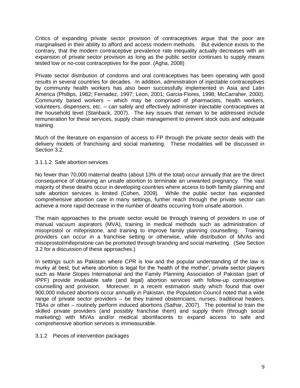Critics of expanding private sector provision of contraceptives argue that the poor are marginalised in their ability to afford and access modern methods. But evidence exists to the contrary, that the modern contraceptive prevalence rate inequality actually decreases with an expansion of private sector provision as long as the public sector continues to supply means tested low or no-cost contraceptives for the poor. (Agha, 2008)

Private sector distribution of condoms and oral contraceptives has been operating with good results in several countries for decades. In addition, administration of injectable contraceptives by community health workers has also been successfully implemented in Asia and Latin America (Phillips, 1982; Fernadez, 1997; Leon, 2001; Garcia-Flores, 1998; McCarraher, 2000). Community based workers – which may be comprised of pharmacists, health workers, volunteers, dispensers, etc. – can safely and effectively administer injectable contraceptives at the household level (Stanback, 2007). The key issues that remain to be addressed include remuneration for these services, supply chain management to prevent stock outs and adequate training.

Much of the literature on expansion of access to FP through the private sector deals with the delivery models of franchising and social marketing. These modalities will be discussed in Section 3.2.

## 3.1.1.2 Safe abortion services

No fewer than 70,000 maternal deaths (about 13% of the total) occur annually that are the direct consequence of obtaining an unsafe abortion to terminate an unwanted pregnancy. The vast majority of these deaths occur in developing countries where access to both family planning and safe abortion services is limited (Cohen, 2009). While the public sector has expanded comprehensive abortion care in many settings, further reach through the private sector can achieve a more rapid decrease in the number of deaths occurring from unsafe abortion.

The main approaches to the private sector would be through training of providers in use of manual vacuum aspirators (MVA), training in medical methods such as administration of misoprostol or mifepristone, and training to improve family planning counselling. Training providers can occur in a franchise setting or otherwise, while distribution of MVAs and misoprostol/mifepristone can be promoted through branding and social marketing. (See Section 3.2 for a discussion of these approaches.)

In settings such as Pakistan where CPR is low and the popular understanding of the law is murky at best, but where abortion is legal for the 'health of the mother', private sector players such as Marie Stopes International and the Family Planning Association of Pakistan (part of IPPF) provide invaluable safe (and legal) abortion services with follow-up contraceptive counselling and provision. Moreover, in a recent estimation study which found that over 900,000 induced abortions occur annually in Pakistan, the Population Council noted that a wide range of private sector providers – be they trained obstetricians, nurses, traditional healers, TBAs or other – routinely perform induced abortions (Sathar, 2007). The potential to train the skilled private providers (and possibly franchise them) and supply them (through social marketing) with MVAs and/or medical abortifacents to expand access to safe and comprehensive abortion services is immeasurable.

## 3.1.2 Pieces of intervention packages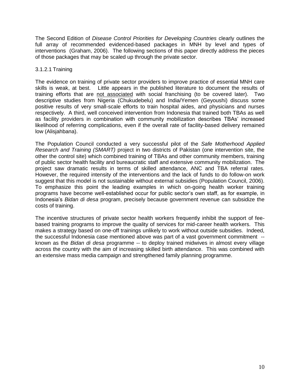The Second Edition of *Disease Control Priorities for Developing Countries* clearly outlines the full array of recommended evidenced-based packages in MNH by level and types of interventions (Graham, 2006). The following sections of this paper directly address the pieces of those packages that may be scaled up through the private sector.

## 3.1.2.1 Training

The evidence on training of private sector providers to improve practice of essential MNH care skills is weak, at best. Little appears in the published literature to document the results of training efforts that are not associated with social franchising (to be covered later). Two descriptive studies from Nigeria (Chukudebelu) and India/Yemen (Geyoushi) discuss some positive results of very small-scale efforts to train hospital aides, and physicians and nurses respectively. A third, well conceived intervention from Indonesia that trained both TBAs as well as facility providers in combination with community mobilization describes TBAs' increased likelihood of referring complications, even if the overall rate of facility-based delivery remained low (Alisjahbana).

The Population Council conducted a very successful pilot of the *Safe Motherhood Applied Research and Training (SMART)* project in two districts of Pakistan (one intervention site, the other the control site) which combined training of TBAs and other community members, training of public sector health facility and bureaucratic staff and extensive community mobilization. The project saw dramatic results in terms of skilled attendance, ANC and TBA referral rates. However, the required intensity of the interventions and the lack of funds to do follow-on work suggest that this model is not sustainable without external subsidies (Population Council, 2006). To emphasize this point the leading examples in which on-going health worker training programs have become well-established occur for public sector's own staff, as for example, in Indonesia's *Bidan di desa* program, precisely because government revenue can subsidize the costs of training.

The incentive structures of private sector health workers frequently inhibit the support of feebased training programs to improve the quality of services for mid-career health workers. This makes a strategy based on one-off trainings unlikely to work without outside subsidies. Indeed, the successful Indonesia case mentioned above was part of a vast government commitment - known as the *Bidan di desa* programme -- to deploy trained midwives in almost every village across the country with the aim of increasing skilled birth attendance. This was combined with an extensive mass media campaign and strengthened family planning programme.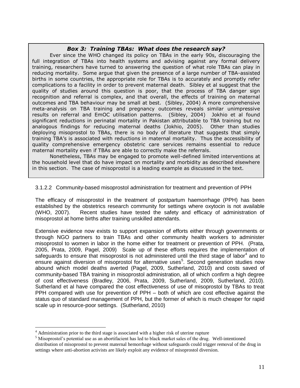## *Box 3: Training TBAs: What does the research say?*

Ever since the WHO changed its policy on TBAs in the early 90s, discouraging the full integration of TBAs into health systems and advising against any formal delivery training, researchers have turned to answering the question of what role TBAs can play in reducing mortality. Some argue that given the presence of a large number of TBA-assisted births in some countries, the appropriate role for TBAs is to accurately and promptly refer complications to a facility in order to prevent maternal death. Sibley et al suggest that the quality of studies around this question is poor, that the process of TBA danger sign recognition and referral is complex, and that overall, the effects of training on maternal outcomes and TBA behaviour may be small at best. (Sibley, 2004) A more comprehensive meta-analysis on TBA training and pregnancy outcomes reveals similar unimpressive results on referral and EmOC utilisation patterns. (Sibley, 2004) Jokhio et al found significant reductions in perinatal mortality in Pakistan attributable to TBA training but no analogous findings for reducing maternal deaths (Jokhio, 2005). Other than studies deploying misoprostol to TBAs, there is no body of literature that suggests that simply training TBA's is associated with reductions in maternal mortality. Thus the accessibility of quality comprehensive emergency obstetric care services remains essential to reduce maternal mortality even if TBAs are able to correctly make the referrals.

Nonetheless, TBAs may be engaged to promote well-defined limited interventions at the household level that do have impact on mortality and morbidity as described elsewhere in this section. The case of misoprostol is a leading example as discussed in the text.

## 3.1.2.2 Community-based misoprostol administration for treatment and prevention of PPH

The efficacy of misoprostol in the treatment of postpartum haemorrhage (PPH) has been established by the obstetrics research community for settings where oxytocin is not available (WHO, 2007). Recent studies have tested the safety and efficacy of administration of misoprostol at home births after training unskilled attendants.

Extensive evidence now exists to support expansion of efforts either through governments or through NGO partners to train TBAs and other community health workers to administer misoprostol to women in labor in the home either for treatment or prevention of PPH. (Prata, 2005, Prata, 2009, Pagel, 2009) Scale up of these efforts requires the implementation of safeguards to ensure that misoprostol is not administered until the third stage of labor<sup>4</sup> and to ensure against diversion of misoprostol for alternative uses<sup>5</sup>. Second generation studies now abound which model deaths averted (Pagel, 2009, Sutherland, 2010) and costs saved of community-based TBA training in misoprostol administration, all of which confirm a high degree of cost effectiveness (Bradley, 2006, Prata, 2009, Sutherland, 2009, Sutherland, 2010). Sutherland et al have compared the cost effectiveness of use of misoprostol by TBAs to treat PPH compared with use for prevention of PPH – both of which are cost effective against the status quo of standard management of PPH, but the former of which is much cheaper for rapid scale up in resource-poor settings. (Sutherland, 2010)

 $\overline{a}$ 

 $4$  Administration prior to the third stage is associated with a higher risk of uterine rupture

<sup>&</sup>lt;sup>5</sup> Misoprostol's potential use as an abortifacient has led to black market sales of the drug. Well-intentioned distribution of misoprostol to prevent maternal hemorrhage without safeguards could trigger removal of the drug in settings where anti-abortion activists are likely exploit any evidence of misoprostol diversion.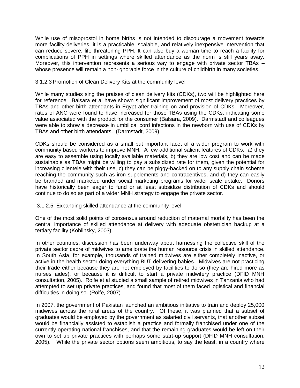While use of misoprostol in home births is not intended to discourage a movement towards more facility deliveries, it is a practicable, scalable, and relatively inexpensive intervention that can reduce severe, life threatening PPH. It can also buy a woman time to reach a facility for complications of PPH in settings where skilled attendance as the norm is still years away. Moreover, this intervention represents a serious way to engage with private sector TBAs – whose presence will remain a non-ignorable force in the culture of childbirth in many societies.

## 3.1.2.3 Promotion of Clean Delivery Kits at the community level

While many studies sing the praises of clean delivery kits (CDKs), two will be highlighted here for reference. Balsara et al have shown significant improvement of most delivery practices by TBAs and other birth attendants in Egypt after training on and provision of CDKs. Moreover, rates of ANC were found to have increased for those TBAs using the CDKs, indicating some value associated with the product for the consumer (Balsara, 2009). Darmstadt and colleagues were able to show a decrease in umbilical cord infections in the newborn with use of CDKs by TBAs and other birth attendants. (Darmstadt, 2009)

CDKs should be considered as a small but important facet of a wider program to work with community based workers to improve MNH. A few additional salient features of CDKs: a) they are easy to assemble using locally available materials, b) they are low cost and can be made sustainable as TBAs might be willing to pay a subsidized rate for them, given the potential for increasing clientele with their use, c) they can be piggy-backed on to any supply chain scheme reaching the community such as iron supplements and contraceptives, and d) they can easily be branded and marketed under social marketing programs for wider scale uptake. Donors have historically been eager to fund or at least subsidize distribution of CDKs and should continue to do so as part of a wider MNH strategy to engage the private sector.

#### 3.1.2.5 Expanding skilled attendance at the community level

One of the most solid points of consensus around reduction of maternal mortality has been the central importance of skilled attendance at delivery with adequate obstetrician backup at a tertiary facility (Koblinsky, 2003).

In other countries, discussion has been underway about harnessing the collective skill of the private sector cadre of midwives to ameliorate the human resource crisis in skilled attendance. In South Asia, for example, thousands of trained midwives are either completely inactive, or active in the health sector doing everything BUT delivering babies. Midwives are not practicing their trade either because they are not employed by facilities to do so (they are hired more as nurses aides), or because it is difficult to start a private midwifery practice (DFID MNH consultation, 2005). Rolfe et al studied a small sample of retired midwives in Tanzania who had attempted to set up private practices, and found that most of them faced logistical and financial difficulties in doing so. (Rolfe, 2007)

In 2007, the government of Pakistan launched an ambitious initiative to train and deploy 25,000 midwives across the rural areas of the country. Of these, it was planned that a subset of graduates would be employed by the government as salaried civil servants, that another subset would be financially assisted to establish a practice and formally franchised under one of the currently operating national franchises, and that the remaining graduates would be left on their own to set up private practices with perhaps some start-up support (DFID MNH consultation, 2005). While the private sector options seem ambitious, to say the least, in a country where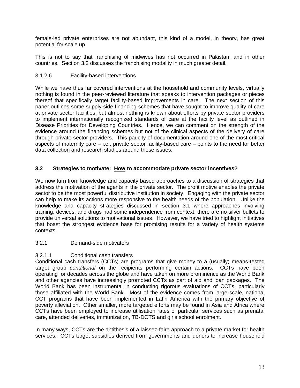female-led private enterprises are not abundant, this kind of a model, in theory, has great potential for scale up.

This is not to say that franchising of midwives has not occurred in Pakistan, and in other countries. Section 3.2 discusses the franchising modality in much greater detail.

# 3.1.2.6 Facility-based interventions

While we have thus far covered interventions at the household and community levels, virtually nothing is found in the peer-reviewed literature that speaks to intervention packages or pieces thereof that specifically target facility-based improvements in care. The next section of this paper outlines some supply-side financing schemes that have sought to improve quality of care at private sector facilities, but almost nothing is known about efforts by private sector providers to implement internationally recognized standards of care at the facility level as outlined in Disease Priorities for Developing Countries. Hence, we can comment on the strength of the evidence around the financing schemes but not of the clinical aspects of the delivery of care through private sector providers. This paucity of documentation around one of the most critical aspects of maternity care – i.e., private sector facility-based care – points to the need for better data collection and research studies around these issues.

# **3.2 Strategies to motivate: How to accommodate private sector incentives?**

We now turn from knowledge and capacity based approaches to a discussion of strategies that address the motivation of the agents in the private sector. The profit motive enables the private sector to be the most powerful distributive institution in society. Engaging with the private sector can help to make its actions more responsive to the health needs of the population. Unlike the knowledge and capacity strategies discussed in section 3.1 where approaches involving training, devices, and drugs had some independence from context, there are no silver bullets to provide universal solutions to motivational issues. However, we have tried to highlight initiatives that boast the strongest evidence base for promising results for a variety of health systems contexts.

# 3.2.1 Demand-side motivators

## 3.2.1.1 Conditional cash transfers

Conditional cash transfers (CCTs) are programs that give money to a (usually) means-tested target group *conditional* on the recipients performing certain actions. CCTs have been operating for decades across the globe and have taken on more prominence as the World Bank and other agencies have increasingly promoted CCTs as part of aid and loan packages. The World Bank has been instrumental in conducting rigorous evaluations of CCTs, particularly those affiliated with the World Bank. Most of the evidence comes from large-scale, national CCT programs that have been implemented in Latin America with the primary objective of poverty alleviation. Other smaller, more targeted efforts may be found in Asia and Africa where CCTs have been employed to increase utilisation rates of particular services such as prenatal care, attended deliveries, immunization, TB-DOTS and girls school enrolment.

In many ways, CCTs are the antithesis of a laissez-faire approach to a private market for health services. CCTs target subsidies derived from governments and donors to increase household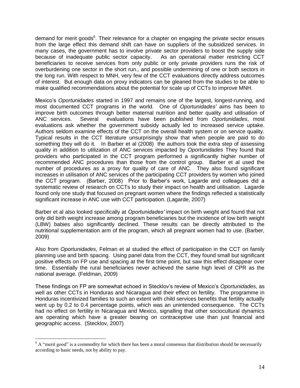demand for merit goods<sup>6</sup>. Their relevance for a chapter on engaging the private sector ensues from the large effect this demand shift can have on suppliers of the subsidized services. In many cases, the government has to involve private sector providers to boost the supply side because of inadequate public sector capacity. As an operational matter restricting CCT beneficiaries to receive services from only public or only private providers runs the risk of overburdening one sector in the short run., and possible undermining of one or both sectors in the long run. With respect to MNH, very few of the CCT evaluations directly address outcomes of interest. But enough data on proxy indicators can be gleaned from the studies to be able to make qualified recommendations about the potential for scale up of CCTs to improve MNH.

Mexico's *Oportunidades* started in 1997 and remains one of the largest, longest-running, and most documented CCT programs in the world. One of *Oportunidades'* aims has been to improve birth outcomes through better maternal nutrition and better quality and utilisation of ANC services. Several evaluations have been published from *Oportunidades*, most evaluations ask whether the government subsidy actually led to increased service uptake. Authors seldom examine effects of the CCT on the overall health system or on service quality. Typical results in the CCT literature unsurprisingly show that when people are paid to do something they will do it. In Barber et al (2008) the authors took the extra step of assessing quality in addition to utilization of ANC services impacted by *Oportunidades* They found that providers who participated in the CCT program performed a significantly higher number of recommended ANC procedures than those from the control group. Barber et al used the number of procedures as a proxy for quality of care of ANC. They also found significant increases in utilisation of ANC services of the participating CCT providers by women who joined the CCT program. (Barber, 2008) Prior to Barber's work, Lagarde and colleagues did a systematic review of research on CCTs to study their impact on health and utilisation. Lagarde found only one study that focused on pregnant women where the findings reflected a statistically significant increase in ANC use with CCT participation. (Lagarde, 2007)

Barber et al also looked specifically at *Oportunidades'* impact on birth weight and found that not only did birth weight increase among program beneficiaries but the incidence of low birth weight (LBW) babies also significantly declined. These results can be directly attributed to the nutritional supplementation arm of the program, which all pregnant women had to use. (Barber, 2009)

Also from *Oportunidades*, Felman et al studied the effect of participation in the CCT on family planning use and birth spacing. Using panel data from the CCT, they found small but significant positive effects on FP use and spacing at the first time point, but saw this effect disappear over time. Essentially the rural beneficiaries never achieved the same high level of CPR as the national average. (Feldman, 2009)

These findings on FP are somewhat echoed in Stecklov's review of Mexico's *Oportunidades*, as well as other CCTs in Honduras and Nicaragua and their effect on fertility. The programme in Honduras incentivized families to such an extent with child services benefits that fertility actually went up by 0.2 to 0.4 percentage points, which was an unintended consequence. The CCTs had no effect on fertility in Nicaragua and Mexico, signalling that other sociocultural dynamics are operating which have a greater bearing on contraceptive use than just financial and geographic access. (Stecklov, 2007)

 $\overline{a}$ 

 $6$  A "merit good" is a commodity for which there has been a moral consensus that distribution should be necessarily according to basic needs, not by ability to pay.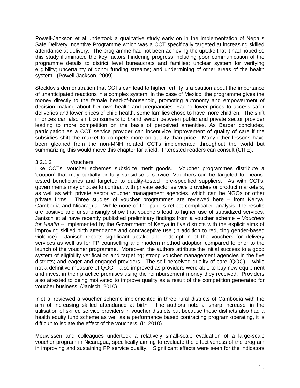Powell-Jackson et al undertook a qualitative study early on in the implementation of Nepal's Safe Delivery Incentive Programme which was a CCT specifically targeted at increasing skilled attendance at delivery. The programme had not been achieving the uptake that it had hoped so this study illuminated the key factors hindering progress including poor communication of the programme details to district level bureaucrats and families; unclear system for verifying eligibility; uncertainty of donor funding streams; and undermining of other areas of the health system. (Powell-Jackson, 2009)

Stecklov's demonstration that CCTs can lead to higher fertility is a caution about the importance of unanticipated reactions in a complex system. In the case of Mexico, the programme gives the money directly to the female head-of-household, promoting autonomy and empowerment of decision making about her own health and pregnancies. Facing lower prices to access safer deliveries and lower prices of child health, some families chose to have more children. The shift in prices can also shift consumers to brand switch between public and private sector provider leading to more competition on the basis of perceived amenities. As Barber concludes, participation as a CCT service provider can incentivize improvement of quality of care if the subsidies shift the market to compete more on quality than price. Many other lessons have been gleaned from the non-MNH related CCTs implemented throughout the world but summarizing this would move this chapter far afield. Interested readers can consult (CITE).

# 3.2.1.2 Vouchers

Like CCTs, voucher schemes subsidize merit goods. Voucher programmes distribute a ‗coupon' that may partially or fully subsidise a service. Vouchers can be targeted to meanstested beneficiaries and targeted to quality-tested pre-specified suppliers. As with CCTs, governments may choose to contract with private sector service providers or product marketers, as well as with private sector voucher management agencies, which can be NGOs or other private firms. Three studies of voucher programmes are reviewed here – from Kenya, Cambodia and Nicaragua. While none of the papers reflect complicated analysis, the results are positive and unsurprisingly show that vouchers lead to higher use of subsidized services. Janisch et al have recently published preliminary findings from a voucher scheme – *Vouchers for Health --* implemented by the Government of Kenya in five districts with the explicit aims of improving skilled birth attendance and contraceptive use (in addition to reducing gender-based violence). Janisch reports significant uptake and redemption of the vouchers for delivery services as well as for FP counselling and modern method adoption compared to prior to the launch of the voucher programme. Moreover, the authors attribute the initial success to a good system of eligibility verification and targeting; strong voucher management agencies in the five districts; and eager and engaged providers. The self-perceived quality of care (QOC) – while not a definitive measure of QOC – also improved as providers were able to buy new equipment and invest in their practice premises using the reimbursement money they received. Providers also attested to being motivated to improve quality as a result of the competition generated for voucher business. (Janisch, 2010)

Ir et al reviewed a voucher scheme implemented in three rural districts of Cambodia with the aim of increasing skilled attendance at birth. The authors note a 'sharp increase' in the utilisation of skilled service providers in voucher districts but because these districts also had a health equity fund scheme as well as a performance based contracting program operating, it is difficult to isolate the effect of the vouchers. (Ir, 2010)

Meuwissen and colleagues undertook a relatively small-scale evaluation of a large-scale voucher program in Nicaragua, specifically aiming to evaluate the effectiveness of the program in improving and sustaining FP service quality. Significant effects were seen for the indicators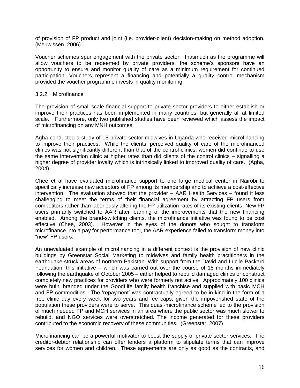of provision of FP product and joint (i.e. provider-client) decision-making on method adoption. (Meuwissen, 2006)

Voucher schemes spur engagement with the private sector. Inasmuch as the programme will allow vouchers to be redeemed by private providers, the scheme's sponsors have an opportunity to ensure and monitor quality of care as a minimum requirement for continued participation. Vouchers represent a financing and potentially a quality control mechanism provided the voucher programme invests in quality monitoring.

## 3.2.2 Microfinance

The provision of small-scale financial support to private sector providers to either establish or improve their practices has been implemented in many countries, but generally all at limited scale. Furthermore, only two published studies have been reviewed which assess the impact of microfinancing on any MNH outcomes.

Agha conducted a study of 15 private sector midwives in Uganda who received microfinancing to improve their practices. While the clients' perceived quality of care of the microfinanced clinics was not significantly different than that of the control clinics, women did continue to use the same intervention clinic at higher rates than did clients of the control clinics – signalling a higher degree of provider loyalty which is intrinsically linked to improved quality of care. (Agha, 2004)

Chee et al have evaluated microfinance support to one large medical center in Nairobi to specifically increase new acceptors of FP among its membership and to achieve a cost-effective intervention. The evaluation showed that the provider – AAR Health Services – found it less challenging to meet the terms of their financial agreement by attracting FP users from competitors rather than laboriously altering the FP utilization rates of its existing clients. New FP users primarily switched to AAR after learning of the improvements that the new financing enabled. Among the brand-switching clients, the microfinance initiative was found to be cost effective (Chee, 2003). However in the eyes of the donors who sought to transform microfinance into a pay for performance tool, the AAR experience failed to transform money into "new" FP users.

An unevaluated example of microfinancing in a different context is the provision of new clinic buildings by Greenstar Social Marketing to midwives and family health practitioners in the earthquake-struck areas of northern Pakistan. With support from the David and Lucile Packard Foundation, this initiative – which was carried out over the course of 18 months immediately following the earthquake of October 2005 – either helped to rebuild damaged clinics or construct completely new practices for providers who were formerly not active. Approximately 100 clinics were built, branded under the GoodLife family health franchise and supplied with basic MCH and FP commodities. The 'repayment' was contractually agreed to be in-kind in the form of a free clinic day every week for two years and fee caps, given the impoverished state of the population these providers were to serve. This quasi-microfinance scheme led to the provision of much needed FP and MCH services in an area where the public sector was much slower to rebuild, and NGO services were overstretched. The income generated for these providers contributed to the economic recovery of these communities. (Greenstar, 2007)

Microfinancing can be a powerful motivator to boost the supply of private sector services. The creditor-debtor relationship can offer lenders a platform to stipulate terms that can improve services for women and children. These agreements are only as good as the contracts, and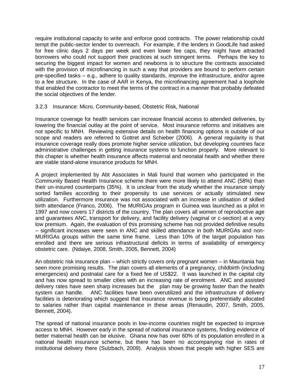require institutional capacity to write and enforce good contracts. The power relationship could tempt the public-sector lender to overreach. For example, if the lenders in GoodLife had asked for free clinic days 2 days per week and even lower fee caps, they might have attracted borrowers who could not support their practices at such stringent terms. Perhaps the key to securing the biggest impact for women and newborns is to structure the contracts associated with the provision of microfinancing in such a way that providers are bound to perform certain pre-specified tasks – e.g., adhere to quality standards, improve the infrastructure, and/or agree to a fee structure. In the case of AAR in Kenya, the microfinancing agreement had a loophole that enabled the contractor to meet the terms of the contract in a manner that probably defeated the social objectives of the lender.

## 3.2.3 Insurance: Micro, Community-based, Obstetric Risk, National

Insurance coverage for health services can increase financial access to attended deliveries, by lowering the financial outlay at the point of service. Most insurance reforms and initiatives are not specific to MNH. Reviewing extensive details on health financing options is outside of our scope and readers are referred to Gottret and Schieber (2006). A general regularity is that insurance coverage really does promote higher service utilization, but developing countries face administrative challenges in getting insurance systems to function properly. More relevant to this chapter is whether health insurance affects maternal and neonatal health and whether there are viable stand-alone insurance products for MNH.

A project implemented by Abt Associates in Mali found that women who participated in the Community Based Health Insurance scheme there were more likely to attend ANC (58%) than their un-insured counterparts (35%). It is unclear from the study whether the insurance simply sorted families according to their propensity to use services or actually stimulated new utilization. Furthermore insurance was not associated with an increase in utilisation of skilled birth attendance (Franco, 2006). The MURIGAs program in Guinea was launched as a pilot in 1997 and now covers 17 districts of the country. The plan covers all women of reproductive age and guarantees ANC, transport for delivery, and facility delivery (vaginal or c-section) at a very low premium. Again, the evaluation of this promising scheme has not provided definitive results – significant increases were seen in ANC and skilled attendance in both MURIGAs and non-MURIGAs groups within the same time frame. Less than 10% of the target population has enrolled and there are serious infrastructural deficits in terms of availability of emergency obstetric care. (Ndaiye, 2008, Smith, 2005, Bennett, 2004)

An obstetric risk insurance plan – which strictly covers only pregnant women – in Mauritania has seen more promising results. The plan covers all elements of a pregnancy, childbirth (including emergencies) and postnatal care for a fixed fee of US\$22. It was launched in the capital city and has now spread to smaller cities with an increasing rate of enrolment. ANC and assisted delivery rates have seen sharp increases but the plan may be growing faster than the health system can handle. ANC facilities have been overutilized and the infrastructure of delivery facilities is deteriorating which suggest that insurance revenue is being preferentially allocated to salaries rather than capital maintenance in these areas (Renaudin, 2007, Smith, 2005, Bennett, 2004).

The spread of national insurance pools in low-income countries might be expected to improve access to MNH. However early in the spread of national insurance systems, finding evidence of better maternal health can be elusive. Ghana now has over 60% of its population enrolled in a national health insurance scheme, but there has been no accompanying rise in rates of institutional delivery there (Sulzbach, 2009). Analysis shows that people with higher SES are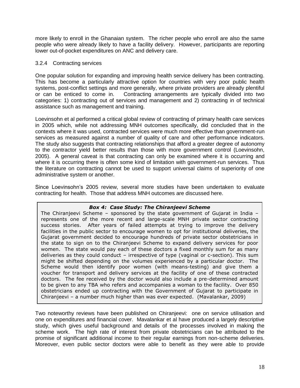more likely to enroll in the Ghanaian system. The richer people who enroll are also the same people who were already likely to have a facility delivery. However, participants are reporting lower out-of-pocket expenditures on ANC and delivery care.

## 3.2.4 Contracting services

One popular solution for expanding and improving health service delivery has been contracting. This has become a particularly attractive option for countries with very poor public health systems, post-conflict settings and more generally, where private providers are already plentiful or can be enticed to come in. Contracting arrangements are typically divided into two categories: 1) contracting out of services and management and 2) contracting in of technical assistance such as management and training.

Loevinsohn et al performed a critical global review of contracting of primary health care services in 2005 which, while not addressing MNH outcomes specifically, did concluded that in the contexts where it was used, contracted services were much more effective than government-run services as measured against a number of quality of care and other performance indicators. The study also suggests that contracting relationships that afford a greater degree of autonomy to the contractor yield better results than those with more government control (Loevinsohn, 2005). A general caveat is that contracting can only be examined where it is occurring and where it is occurring there is often some kind of limitation with government-run services. Thus the literature on contracting cannot be used to support universal claims of superiority of one administrative system or another.

Since Loevinsohn's 2005 review, several more studies have been undertaken to evaluate contracting for health. Those that address MNH outcomes are discussed here.

#### *Box 4: Case Study: The Chiranjeevi Scheme*

The Chiranjeevi Scheme – sponsored by the state government of Gujarat in India – represents one of the more recent and large-scale MNH private sector contracting success stories. After years of failed attempts at trying to improve the delivery facilities in the public sector to encourage women to opt for institutional deliveries, the Gujarat government decided to encourage hundreds of private sector obstetricians in the state to sign on to the Chiranjeevi Scheme to expand delivery services for poor women. The state would pay each of these doctors a fixed monthly sum for as many deliveries as they could conduct – irrespective of type (vaginal or c-section). This sum might be shifted depending on the volumes experienced by a particular doctor. The Scheme would then identify poor women (with means-testing) and give them a voucher for transport and delivery services at the facility of one of these contracted doctors. The fee received by the doctor would also include a pre-determined amount to be given to any TBA who refers and accompanies a woman to the facility. Over 850 obstetricians ended up contracting with the Government of Gujarat to participate in Chiranjeevi – a number much higher than was ever expected. (Mavalankar, 2009)

Two noteworthy reviews have been published on Chiranjeevi: one on service utilisation and one on expenditures and financial cover. Mavalankar et al have produced a largely descriptive study, which gives useful background and details of the processes involved in making the scheme work. The high rate of interest from private obstetricians can be attributed to the promise of significant additional income to their regular earnings from non-scheme deliveries. Moreover, even public sector doctors were able to benefit as they were able to provide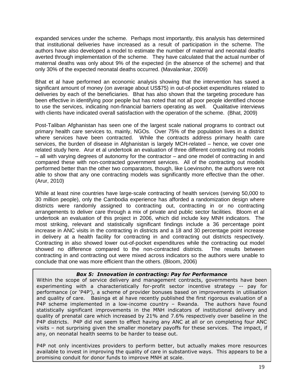expanded services under the scheme. Perhaps most importantly, this analysis has determined that institutional deliveries have increased as a result of participation in the scheme. The authors have also developed a model to estimate the number of maternal and neonatal deaths averted through implementation of the scheme. They have calculated that the actual number of maternal deaths was only about 9% of the expected (in the absence of the scheme) and that only 30% of the expected neonatal deaths occurred. (Mavalankar, 2009)

Bhat et al have performed an economic analysis showing that the intervention has saved a significant amount of money (on average about US\$75) in out-of-pocket expenditures related to deliveries by each of the beneficiaries. Bhat has also shown that the targeting procedure has been effective in identifying poor people but has noted that not all poor people identified choose to use the services, indicating non-financial barriers operating as well. Qualitative interviews with clients have indicated overall satisfaction with the operation of the scheme. (Bhat, 2009)

Post-Taliban Afghanistan has seen one of the largest scale national programs to contract out primary health care services to, mainly, NGOs. Over 75% of the population lives in a district where services have been contracted. While the contracts address primary health care services, the burden of disease in Afghanistan is largely MCH-related – hence, we cover one related study here. Arur et al undertook an evaluation of three different contracting out models – all with varying degrees of autonomy for the contractor – and one model of contracting in and compared these with non-contracted government services. All of the contracting out models performed better than the other two comparators, though, like Loevinsohn, the authors were not able to show that any one contracting models was significantly more effective than the other. (Arur, 2010)

While at least nine countries have large-scale contracting of health services (serving 50,000 to 30 million people), only the Cambodia experience has afforded a randomization design where districts were randomly assigned to contracting out, contracting in or no contracting arrangements to deliver care through a mix of private and public sector facilities. Bloom et al undertook an evaluation of this project in 2006, which did include key MNH indicators. The most striking, relevant and statistically significant findings include a 36 percentage point increase in ANC visits in the contracting in districts and a 18 and 30 percentage point increase in delivery at a health facility for contracting in and contracting out districts respectively. Contracting in also showed lower out-of-pocket expenditures while the contracting out model showed no difference compared to the non-contracted districts. The results between contracting in and contracting out were mixed across indicators so the authors were unable to conclude that one was more efficient than the others. (Bloom, 2006)

## *Box 5: Innovation in contracting: Pay for Performance*

Within the scope of service delivery and management contracts, governments have been experimenting with a characteristically for-profit sector incentive strategy -- pay for performance (or 'P4P'), a scheme of provider bonuses based on improvements in utilisation and quality of care. Basinga et al have recently published the first rigorous evaluation of a P4P scheme implemented in a low-income country – Rwanda. The authors have found statistically significant improvements in the MNH indicators of institutional delivery and quality of prenatal care which increased by 21% and 7.6% respectively over baseline in the P4P districts. P4P did not seem to effect having any ANC at all or on completing four ANC visits – not surprising given the smaller monetary payoffs for these services. The impact, if any, on neonatal health seems to be harder to tease out.

P4P not only incentivizes providers to perform better, but actually makes more resources available to invest in improving the quality of care in substantive ways. This appears to be a promising conduit for donor funds to improve MNH at scale.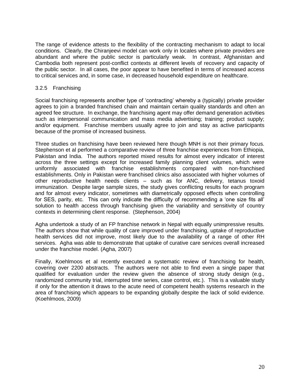The range of evidence attests to the flexibility of the contracting mechanism to adapt to local conditions. Clearly, the Chiranjeevi model can work only in locales where private providers are abundant and where the public sector is particularly weak. In contrast, Afghanistan and Cambodia both represent post-conflict contexts at different levels of recovery and capacity of the public sector. In all cases, the poor appear to have benefited in terms of increased access to critical services and, in some case, in decreased household expenditure on healthcare.

## 3.2.5 Franchising

Social franchising represents another type of 'contracting' whereby a (typically) private provider agrees to join a branded franchised chain and maintain certain quality standards and often an agreed fee structure. In exchange, the franchising agent may offer demand generation activities such as interpersonal communication and mass media advertising; training; product supply; and/or equipment. Franchise members usually agree to join and stay as active participants because of the promise of increased business.

Three studies on franchising have been reviewed here though MNH is not their primary focus. Stephenson et al performed a comparative review of three franchise experiences from Ethiopia, Pakistan and India. The authors reported mixed results for almost every indicator of interest across the three settings except for increased family planning client volumes, which were uniformly associated with franchise establishments compared with non-franchised establishments. Only in Pakistan were franchised clinics also associated with higher volumes of other reproductive health needs clients – such as for ANC, delivery, tetanus toxoid immunization. Despite large sample sizes, the study gives conflicting results for each program and for almost every indicator, sometimes with diametrically opposed effects when controlling for SES, parity, etc. This can only indicate the difficulty of recommending a 'one size fits all' solution to health access through franchising given the variability and sensitivity of country contexts in determining client response. (Stephenson, 2004)

Agha undertook a study of an FP franchise network in Nepal with equally unimpressive results. The authors show that while quality of care improved under franchising, uptake of reproductive health services did not improve, most likely due to the availability of a range of other RH services. Agha was able to demonstrate that uptake of curative care services overall increased under the franchise model. (Agha, 2007)

Finally, Koehlmoos et al recently executed a systematic review of franchising for health, covering over 2200 abstracts. The authors were not able to find even a single paper that qualified for evaluation under the review given the absence of strong study design (e.g., randomized community trial, interrupted time series, case control, etc.). This is a valuable study if only for the attention it draws to the acute need of competent health systems research in the area of franchising which appears to be expanding globally despite the lack of solid evidence. (Koehlmoos, 2009)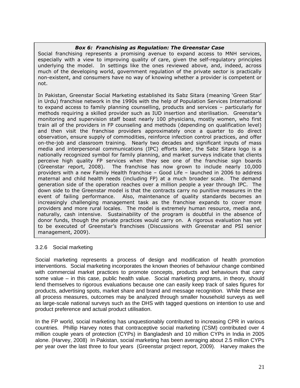## *Box 6: Franchising as Regulation: The Greenstar Case*

Social franchising represents a promising avenue to expand access to MNH services, especially with a view to improving quality of care, given the self-regulatory principles underlying the model. In settings like the ones reviewed above, and, indeed, across much of the developing world, government regulation of the private sector is practically non-existent, and consumers have no way of knowing whether a provider is competent or not.

In Pakistan, Greenstar Social Marketing established its Sabz Sitara (meaning 'Green Star' in Urdu) franchise network in the 1990s with the help of Population Services International to expand access to family planning counselling, products and services – particularly for methods requiring a skilled provider such as IUD insertion and sterilisation. Greenstar's monitoring and supervision staff boast nearly 100 physicians, mostly women, who first train all of the providers in FP counseling and methods (depending on qualification level) and then visit the franchise providers approximately once a quarter to do direct observation, ensure supply of commodities, reinforce infection control practices, and offer on-the-job and classroom training. Nearly two decades and significant inputs of mass media and interpersonal communications (IPC) efforts later, the Sabz Sitara logo is a nationally recognized symbol for family planning, and market surveys indicate that clients perceive high quality FP services when they see one of the franchise sign boards (Greenstar report, 2008). The franchise has now grown to include nearly 10,000 providers with a new Family Health franchise – Good Life – launched in 2006 to address maternal and child health needs (including FP) at a much broader scale. The demand generation side of the operation reaches over a million people a year through IPC. The down side to the Greenstar model is that the contracts carry no punitive measures in the event of failing performance. Also, maintenance of quality standards becomes an increasingly challenging management task as the franchise expands to cover more providers and more rural locales. The model is extremely human resource, media and, naturally, cash intensive. Sustainability of the program is doubtful in the absence of donor funds, though the private practices would carry on. A rigorous evaluation has yet to be executed of Greenstar's franchises (Discussions with Greenstar and PSI senior management, 2009).

## 3.2.6 Social marketing

Social marketing represents a process of design and modification of health promotion interventions. Social marketing incorporates the known theories of behaviour change combined with commercial market practices to promote concepts, products and behaviours that carry some value – in this case, public health value. Social marketing programs, in theory, should lend themselves to rigorous evaluations because one can easily keep track of sales figures for products, advertising spots, market share and brand and message recognition. While these are all process measures, outcomes may be analyzed through smaller household surveys as well as large-scale national surveys such as the DHS with tagged questions on intention to use and product preference and actual product utilisation.

In the FP world, social marketing has unquestionably contributed to increasing CPR in various countries. Phillip Harvey notes that contraceptive social marketing (CSM) contributed over 4 million couple years of protection (CYPs) in Bangladesh and 10 million CYPs in India in 2005 alone. (Harvey, 2008) In Pakistan, social marketing has been averaging about 2.5 million CYPs per year over the last three to four years (Greenstar project report, 2009). Harvey makes the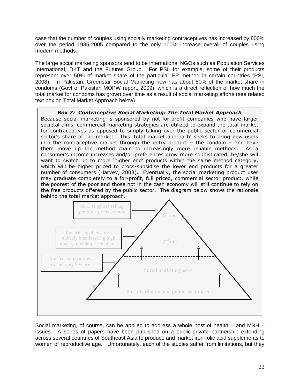case that the number of couples using socially marketing contraceptives has increased by 800% over the period 1985-2005 compared to the only 100% increase overall of couples using modern methods.

The large social marketing sponsors tend to be international NGOs such as Population Services International, DKT and the Futures Group. For PSI, for example, some of their products represent over 50% of market share of the particular FP method in certain countries (PSI, 2008). In Pakistan, Greenstar Social Marketing now has about 80% of the market share in condoms (Govt of Pakistan MOPW report, 2009), which is a direct reflection of how much the total market for condoms has grown over time as a result of social marketing efforts (see related text box on Total Market Approach below).

#### *Box 7: Contraceptive Social Marketing: The Total Market Approach*

Because social marketing is sponsored by not-for-profit companies who have larger societal aims, commercial marketing strategies are utilized to expand the total market for contraceptives as opposed to simply taking over the public sector or commercial sector's share of the market. This 'total market approach' seeks to bring new users into the contraceptive market through the entry product  $-$  the condom  $-$  and have them move up the method chain to increasingly more reliable methods. As a consumer's income increases and/or preferences grow more sophisticated, he/she will want to switch up to more 'higher end' products within the same method category, which will be higher priced to cross-subsidise the lower end products for a greater number of consumers (Harvey, 2008). Eventually, the social marketing product user may graduate completely to a for-profit, full priced, commercial sector product, while the poorest of the poor and those not in the cash economy will still continue to rely on the free products offered by the public sector. The diagram below shows the rationale



Social marketing, of course, can be applied to address a whole host of health – and MNH – issues. A series of papers have been published on a public-private partnership extending across several countries of Southeast Asia to produce and market iron-folic acid supplements to women of reproductive age. Unfortunately, each of the studies suffer from limitations, but they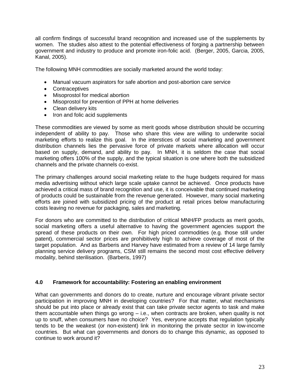all confirm findings of successful brand recognition and increased use of the supplements by women. The studies also attest to the potential effectiveness of forging a partnership between government and industry to produce and promote iron-folic acid. (Berger, 2005, Garcia, 2005, Kanal, 2005).

The following MNH commodities are socially marketed around the world today:

- Manual vacuum aspirators for safe abortion and post-abortion care service
- Contraceptives
- Misoprostol for medical abortion
- Misoprostol for prevention of PPH at home deliveries
- Clean delivery kits
- Iron and folic acid supplements

These commodities are viewed by some as merit goods whose distribution should be occurring independent of ability to pay. Those who share this view are willing to underwrite social marketing efforts to realize this goal. In the interstices of social marketing and government distribution channels lies the pervasive force of private markets where allocation will occur based on supply, demand, and ability to pay. In MNH, it is seldom the case that social marketing offers 100% of the supply, and the typical situation is one where both the subsidized channels and the private channels co-exist.

The primary challenges around social marketing relate to the huge budgets required for mass media advertising without which large scale uptake cannot be achieved. Once products have achieved a critical mass of brand recognition and use, it is conceivable that continued marketing of products could be sustainable from the revenue generated. However, many social marketing efforts are joined with subsidized pricing of the product at retail prices below manufacturing costs leaving no revenue for packaging, sales and marketing.

For donors who are committed to the distribution of critical MNH/FP products as merit goods, social marketing offers a useful alternative to having the government agencies support the spread of these products on their own. For high priced commodities (e.g. those still under patent), commercial sector prices are prohibitively high to achieve coverage of most of the target population. And as Barberis and Harvey have estimated from a review of 14 large family planning service delivery programs, CSM still remains the second most cost effective delivery modality, behind sterilisation. (Barberis, 1997)

#### **4.0 Framework for accountability: Fostering an enabling environment**

What can governments and donors do to create, nurture and encourage vibrant private sector participation in improving MNH in developing countries? For that matter, what mechanisms should be put into place or already exist that can take private sector agents to task and make them accountable when things go wrong – i.e., when contracts are broken, when quality is not up to snuff, when consumers have no choice? Yes, everyone accepts that regulation typically tends to be the weakest (or non-existent) link in monitoring the private sector in low-income countries. But what can governments and donors do to change this dynamic, as opposed to continue to work around it?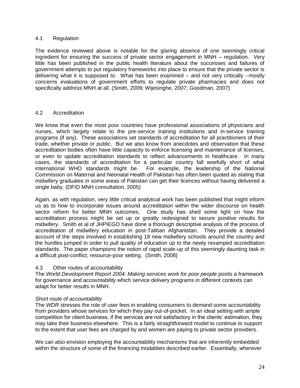## 4.1 Regulation

The evidence reviewed above is notable for the glaring absence of one seemingly critical ingredient for ensuring the success of private sector engagement in MNH – regulation. Very little has been published in the public health literature about the successes and failures of government attempts to put regulatory frameworks into place to ensure that the private sector is delivering what it is supposed to. What has been examined – and not very critically --mostly concerns evaluations of government efforts to regulate private pharmacies and does not specifically address MNH at all. (Smith, 2009; Wijesinghe, 2007; Goodman, 2007)

## 4.2 Accreditation

We know that even the most poor countries have professional associations of physicians and nurses, which largely relate to the pre-service training institutions and in-service training programs (if any). These associations set standards of accreditation for all practitioners of their trade, whether private or public. But we also know from anecdotes and observation that these accreditation bodies often have little capacity to enforce licensing and maintenance of licenses, or even to update accreditation standards to reflect advancements in healthcare. In many cases, the standards of accreditation for a particular country fall woefully short of what international WHO standards might be. For example, the leadership of the National Commission on Maternal and Neonatal Health of Pakistan has often been quoted as stating that midwifery graduates in some areas of Pakistan can get their licences without having delivered a single baby. (DFID MNH consultation, 2005)

Again, as with regulation, very little critical analytical work has been published that might inform us as to how to incorporate issues around accreditation within the wider discourse on health sector reform for better MNH outcomes. One study has shed some light on how the accreditation process might be set up or greatly redesigned to secure positive results for midwifery. Smith et al of JHPIEGO have done a thorough descriptive analysis of the process of accreditation of midwifery education in post-Taliban Afghanistan. They provide a detailed account of the steps involved in establishing 19 new midwifery schools around the country and the hurdles jumped in order to pull quality of education up to the newly revamped accreditation standards. The paper champions the notion of rapid scale-up of this seemingly daunting task in a difficult post-conflict, resource-poor setting. (Smith, 2008)

## 4.3 Other routes of accountability

The *World Development Report 2004: Making services work for poor people* posits a framework for governance and accountability which service delivery programs in different contexts can adapt for better results in MNH.

## *Short route of accountability*

The *WDR* stresses the role of user fees in enabling consumers to demand some accountability from providers whose services for which they pay out-of-pocket. In an ideal setting with ample competition for client business, if the services are not satisfactory in the clients' estimation, they may take their business elsewhere. This is a fairly straightforward model to continue to support to the extent that user fees are charged by and women are paying to private sector providers.

We can also envision employing the accountability mechanisms that are inherently embedded within the structure of some of the financing modalities described earlier. Essentially, wherever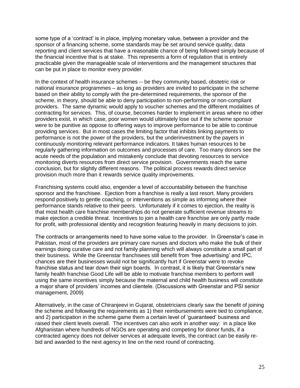some type of a 'contract' is in place, implying monetary value, between a provider and the sponsor of a financing scheme, some standards may be set around service quality, data reporting and client services that have a reasonable chance of being followed simply because of the financial incentive that is at stake. This represents a form of regulation that is entirely practicable given the manageable scale of interventions and the management structures that can be put in place to monitor every provider.

In the context of health insurance schemes -- be they community based, obstetric risk or national insurance programmes – as long as providers are invited to participate in the scheme based on their ability to comply with the pre-determined requirements, the sponsor of the scheme, in theory, should be able to deny participation to non-performing or non-compliant providers. The same dynamic would apply to voucher schemes and the different modalities of contracting for services. This, of course, becomes harder to implement in areas where no other providers exist, in which case, poor women would ultimately lose out if the scheme sponsor were to be punitive as oppose to offering ways to improve performance to be able to continue providing services. But in most cases the limiting factor that inhibits linking payments to performance is not the power of the providers, but the underinvestment by the payers in continuously monitoring relevant performance indicators. It takes human resources to be regularly gathering information on outcomes and processes of care. Too many donors see the acute needs of the population and mistakenly conclude that devoting resources to service monitoring diverts resources from direct service provision. Governments reach the same conclusion, but for slightly different reasons. The political process rewards direct service provision much more than it rewards service quality improvements.

Franchising systems could also, engender a level of accountability between the franchise sponsor and the franchisee. Ejection from a franchise is really a last resort. Many providers respond positively to gentle coaching, or interventions as simple as informing where their performance stands relative to their peers. Unfortunately if it comes to ejection, the reality is that most health care franchise memberships do not generate sufficient revenue streams to make ejection a credible threat. Incentives to join a health care franchise are only partly made for profit, with professional identity and recognition featuring heavily in many decisions to join.

The contracts or arrangements need to have some value to the provider. In Greenstar's case in Pakistan, most of the providers are primary care nurses and doctors who make the bulk of their earnings doing curative care and not family planning which will always constitute a small part of their business. While the Greenstar franchisees still benefit from 'free advertising' and IPC, chances are their businesses would not be significantly hurt if Greenstar were to revoke franchise status and tear down their sign boards. In contrast, it is likely that Greenstar's new family health franchise Good Life will be able to motivate franchise members to perform well using the same incentives simply because the maternal and child health business will constitute a major share of providers' incomes and clientele. (Discussions with Greenstar and PSI senior management, 2009)

Alternatively, in the case of Chiranjeevi in Gujarat, obstetricians clearly saw the benefit of joining the scheme and following the requirements as 1) their reimbursements were tied to compliance, and 2) participation in the scheme game them a certain level of 'guaranteed' business and raised their client levels overall. The incentives can also work in another way: in a place like Afghanistan where hundreds of NGOs are operating and competing for donor funds, if a contracted agency does not deliver services at adequate levels, the contract can be easily rebid and awarded to the next agency in line on the next round of contracting.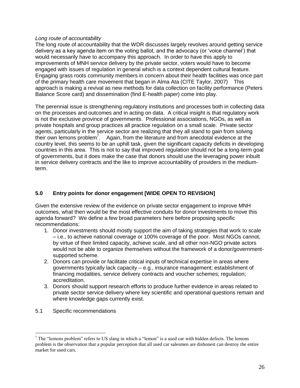## *Long route of accountability*

The long route of accountability that the WDR discusses largely revolves around getting service delivery as a key agenda item on the voting ballot, and the advocacy (or 'voice channel') that would necessarily have to accompany this approach. In order to have this apply to improvements of MNH service delivery by the private sector, voters would have to become engaged with issues of regulation in general which is a context dependent cultural feature. Engaging grass roots community members in concern about their health facilities was once part of the primary health care movement that began in Alma Ata (CITE Taylor, 2007) This approach is making a revival as new methods for data collection on facility performance (Peters Balance Score card) and dissemination (find E-health paper) come into play.

The perennial issue is strengthening regulatory institutions and processes both in collecting data on the processes and outcomes and in acting on data. A critical insight is that regulatory work is not the exclusive province of governments. Professional associations, NGOs, as well as private hospitals and group practices all practice regulation on a small scale. Private sector agents, particularly in the service sector are realizing that they all stand to gain from solving their own lemons problem<sup>7</sup>. Again, from the literature and from anecdotal evidence at the country level, this seems to be an uphill task, given the significant capacity deficits in developing countries in this area. This is not to say that improved regulation should not be a long-term goal of governments, but it does make the case that donors should use the leveraging power inbuilt in service delivery contracts and the like to improve accountability of providers in the mediumterm.

# **5.0 Entry points for donor engagement [WIDE OPEN TO REVISION]**

Given the extensive review of the evidence on private sector engagement to improve MNH outcomes, what then would be the most effective conduits for donor investments to move this agenda forward? We define a few broad parameters here before proposing specific recommendations:

- 1. Donor investments should mostly support the aim of taking strategies that work to scale – i.e., to achieve national coverage or 100% coverage of the poor. Most NGOs cannot, by virtue of their limited capacity, achieve scale, and all other non-NGO private actors would not be able to organize themselves without the framework of a donor/governmentsupported scheme.
- 2. Donors can provide or facilitate critical inputs of technical expertise in areas where governments typically lack capacity – e.g., insurance management; establishment of financing modalities, service delivery contracts and voucher schemes; regulation; accreditation.
- 3. Donors should support research efforts to produce further evidence in areas related to private sector service delivery where key scientific and operational questions remain and where knowledge gaps currently exist.
- 5.1 Specific recommendations

 $\overline{a}$ 

 $<sup>7</sup>$  The "lemons problem" refers to US slang in which a "lemon" is a used car with hidden defects. The lemons</sup> problem is the observation that a popular perception that all used car salesmen are dishonest can destroy the entire market for used cars.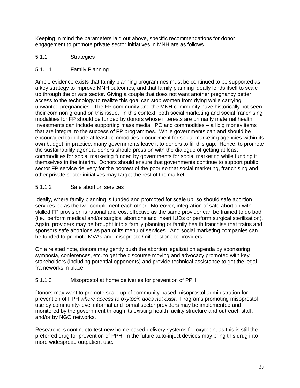Keeping in mind the parameters laid out above, specific recommendations for donor engagement to promote private sector initiatives in MNH are as follows.

- 5.1.1 Strategies
- 5.1.1.1 Family Planning

Ample evidence exists that family planning programmes must be continued to be supported as a key strategy to improve MNH outcomes, and that family planning ideally lends itself to scale up through the private sector. Giving a couple that does not want another pregnancy better access to the technology to realize this goal can stop women from dying while carrying unwanted pregnancies. The FP community and the MNH community have historically not seen their common ground on this issue. In this context, both social marketing and social franchising modalities for FP should be funded by donors whose interests are primarily maternal health. Investments can include supporting mass media, IPC and commodities – all big money items that are integral to the success of FP programmes. While governments can and should be encouraged to include at least commodities procurement for social marketing agencies within its own budget, in practice, many governments leave it to donors to fill this gap. Hence, to promote the sustainability agenda, donors should press on with the dialogue of getting at least commodities for social marketing funded by governments for social marketing while funding it themselves in the interim. Donors should ensure that governments continue to support public sector FP service delivery for the poorest of the poor so that social marketing, franchising and other private sector initiatives may target the rest of the market.

# 5.1.1.2 Safe abortion services

Ideally, where family planning is funded and promoted for scale up, so should safe abortion services be as the two complement each other. Moreover, integration of safe abortion with skilled FP provision is rational and cost effective as the same provider can be trained to do both (i.e., perform medical and/or surgical abortions and insert IUDs or perform surgical sterilisation). Again, providers may be brought into a family planning or family health franchise that trains and sponsors safe abortions as part of its menu of services. And social marketing companies can be funded to promote MVAs and misoprostol/mifepristone to providers.

On a related note, donors may gently push the abortion legalization agenda by sponsoring symposia, conferences, etc. to get the discourse moving and advocacy promoted with key stakeholders (including potential opponents) and provide technical assistance to get the legal frameworks in place.

# 5.1.1.3 Misoprostol at home deliveries for prevention of PPH

Donors may want to promote scale up of community-based misoprostol administration for prevention of PPH *where access to oxytocin does not exist*. Programs promoting misoprostol use by community-level informal and formal sector providers may be implemented and monitored by the government through its existing health facility structure and outreach staff, and/or by NGO networks.

Researchers continueto test new home-based delivery systems for oxytocin, as this is still the preferred drug for prevention of PPH. In the future auto-inject devices may bring this drug into more widespread outpatient use.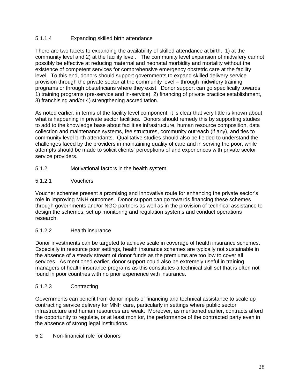# 5.1.1.4 Expanding skilled birth attendance

There are two facets to expanding the availability of skilled attendance at birth: 1) at the community level and 2) at the facility level. The community level expansion of midwifery cannot possibly be effective at reducing maternal and neonatal morbidity and mortality without the existence of competent services for comprehensive emergency obstetric care at the facility level. To this end, donors should support governments to expand skilled delivery service provision through the private sector at the community level – through midwifery training programs or through obstetricians where they exist. Donor support can go specifically towards 1) training programs (pre-service and in-service), 2) financing of private practice establishment, 3) franchising and/or 4) strengthening accreditation.

As noted earlier, in terms of the facility level component, it is clear that very little is known about what is happening in private sector facilities. Donors should remedy this by supporting studies to add to the knowledge base about facilities infrastructure, human resource composition, data collection and maintenance systems, fee structures, community outreach (if any), and ties to community level birth attendants. Qualitative studies should also be fielded to understand the challenges faced by the providers in maintaining quality of care and in serving the poor, while attempts should be made to solicit clients' perceptions of and experiences with private sector service providers.

5.1.2 Motivational factors in the health system

# 5.1.2.1 Vouchers

Voucher schemes present a promising and innovative route for enhancing the private sector's role in improving MNH outcomes. Donor support can go towards financing these schemes through governments and/or NGO partners as well as in the provision of technical assistance to design the schemes, set up monitoring and regulation systems and conduct operations research.

# 5.1.2.2 Health insurance

Donor investments can be targeted to achieve scale in coverage of health insurance schemes. Especially in resource poor settings, health insurance schemes are typically not sustainable in the absence of a steady stream of donor funds as the premiums are too low to cover all services. As mentioned earlier, donor support could also be extremely useful in training managers of health insurance programs as this constitutes a technical skill set that is often not found in poor countries with no prior experience with insurance.

## 5.1.2.3 Contracting

Governments can benefit from donor inputs of financing and technical assistance to scale up contracting service delivery for MNH care, particularly in settings where public sector infrastructure and human resources are weak. Moreover, as mentioned earlier, contracts afford the opportunity to regulate, or at least monitor, the performance of the contracted party even in the absence of strong legal institutions.

## 5.2 Non-financial role for donors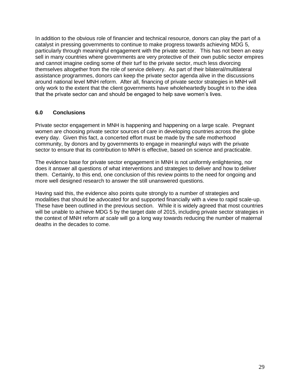In addition to the obvious role of financier and technical resource, donors can play the part of a catalyst in pressing governments to continue to make progress towards achieving MDG 5, particularly through meaningful engagement with the private sector. This has not been an easy sell in many countries where governments are very protective of their own public sector empires and cannot imagine ceding some of their turf to the private sector, much less divorcing themselves altogether from the role of service delivery. As part of their bilateral/multilateral assistance programmes, donors can keep the private sector agenda alive in the discussions around national level MNH reform. After all, financing of private sector strategies in MNH will only work to the extent that the client governments have wholeheartedly bought in to the idea that the private sector can and should be engaged to help save women's lives.

# **6.0 Conclusions**

Private sector engagement in MNH is happening and happening on a large scale. Pregnant women are choosing private sector sources of care in developing countries across the globe every day. Given this fact, a concerted effort must be made by the safe motherhood community, by donors and by governments to engage in meaningful ways with the private sector to ensure that its contribution to MNH is effective, based on science and practicable.

The evidence base for private sector engagement in MNH is not uniformly enlightening, nor does it answer all questions of what interventions and strategies to deliver and how to deliver them. Certainly, to this end, one conclusion of this review points to the need for ongoing and more well designed research to answer the still unanswered questions.

Having said this, the evidence also points quite strongly to a number of strategies and modalities that should be advocated for and supported financially with a view to rapid scale-up. These have been outlined in the previous section. While it is widely agreed that most countries will be unable to achieve MDG 5 by the target date of 2015, including private sector strategies in the context of MNH reform *at scale* will go a long way towards reducing the number of maternal deaths in the decades to come.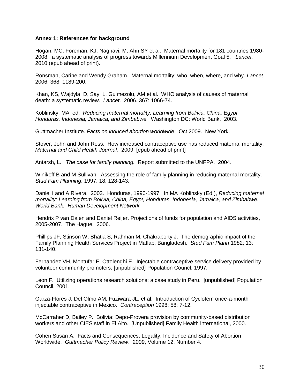## **Annex 1: References for background**

Hogan, MC, Foreman, KJ, Naghavi, M, Ahn SY et al. Maternal mortality for 181 countries 1980- 2008: a systematic analysis of progress towards Millennium Development Goal 5. *Lancet.* 2010 (epub ahead of print).

Ronsman, Carine and Wendy Graham. Maternal mortality: who, when, where, and why. *Lancet*. 2006. 368: 1189-200.

Khan, KS, Wajdyla, D, Say, L, Gulmezolu, AM et al. WHO analysis of causes of maternal death: a systematic review. *Lancet*. 2006. 367: 1066-74.

Koblinsky, MA, ed. *Reducing maternal mortality: Learning from Bolivia, China, Egypt, Honduras, Indonesia, Jamaica, and Zimbabwe.* Washington DC: World Bank. 2003.

Guttmacher Institute. *Facts on induced abortion worldwide*. Oct 2009. New York.

Stover, John and John Ross. How increased contraceptive use has reduced maternal mortality. *Maternal and Child Health Journal.* 2009. [epub ahead of print]

Antarsh, L. *The case for family planning.* Report submitted to the UNFPA. 2004.

Winikoff B and M Sullivan. Assessing the role of family planning in reducing maternal mortality. *Stud Fam Planning*. 1997. 18, 128-143.

Daniel I and A Rivera. 2003. Honduras, 1990-1997. In MA Koblinsky (Ed.), *Reducing maternal mortality: Learning from Bolivia, China, Egypt, Honduras, Indonesia, Jamaica, and Zimbabwe. World Bank. Human Development Network.*

Hendrix P van Dalen and Daniel Reijer. Projections of funds for population and AIDS activities, 2005-2007. The Hague. 2006.

Phillips JF, Stinson W, Bhatia S, Rahman M, Chakraborty J. The demographic impact of the Family Planning Health Services Project in Matlab, Bangladesh. *Stud Fam Plann* 1982; 13: 131-140.

Fernandez VH, Montufar E, Ottolenghi E. Injectable contraceptive service delivery provided by volunteer community promoters. [unpublished] Population Councl, 1997.

Leon F. Utilizing operations research solutions: a case study in Peru. [unpublished] Population Council, 2001.

Garza-Flores J, Del Olmo AM, Fuziwara JL, et al. Introduction of Cyclofem once-a-month injectable contraceptive in Mexico. *Contraception* 1998; 58: 7-12.

McCarraher D, Bailey P. Bolivia: Depo-Provera provision by community-based distribution workers and other CIES staff in El Alto. [Unpublished] Family Health international, 2000.

Cohen Susan A. Facts and Consequences: Legality, Incidence and Safety of Abortion Worldwide. *Guttmacher Policy Review*. 2009, Volume 12, Number 4.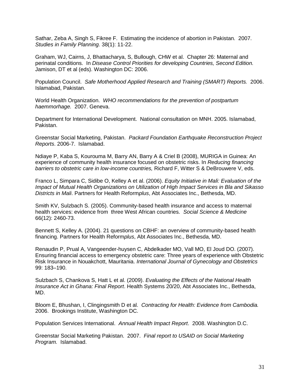Sathar, Zeba A, Singh S, Fikree F. Estimating the incidence of abortion in Pakistan. 2007. *Studies in Family Planning.* 38(1): 11-22.

Graham, WJ, Cairns, J, Bhattacharya, S, Bullough, CHW et al. Chapter 26: Maternal and perinatal conditions. In *Disease Control Priorities for developing Countries, Second Edition.* Jamison, DT et al (eds). Washington DC: 2006.

Population Council. *Safe Motherhood Applied Research and Training (SMART) Reports.* 2006. Islamabad, Pakistan.

World Health Organization. *WHO recommendations for the prevention of postpartum haemmorhage.* 2007. Geneva.

Department for International Development. National consultation on MNH. 2005. Islamabad, Pakistan.

Greenstar Social Marketing, Pakistan. *Packard Foundation Earthquake Reconstruction Project Reports*. 2006-7. Islamabad.

Ndiaye P, Kaba S, Kourouma M, Barry AN, Barry A & Criel B (2008), MURIGA in Guinea: An experience of community health insurance focused on obstetric risks. In *Reducing financing barriers to obstetric care in low-income countries,* Richard F, Witter S & DeBrouwere V, eds.

Franco L, Simpara C, Sidibe O, Kelley A et al. (2006). *Equity Initiative in Mali: Evaluation of the Impact of Mutual Health Organizations on Utilization of High Impact Services in Bla and Sikasso Districts in Mali*. Partners for Health Reform*plus*, Abt Associates Inc., Bethesda, MD.

Smith KV, Sulzbach S. (2005). Community-based health insurance and access to maternal health services: evidence from three West African countries. *Social Science & Medicine*  66(12): 2460-73.

Bennett S, Kelley A. (2004). 21 questions on CBHF: an overview of community-based health financing. Partners for Health Reform*plus*, Abt Associates Inc., Bethesda, MD.

Renaudin P, Prual A, Vangeender-huysen C, Abdelkader MO, Vall MO, El Joud DO. (2007). Ensuring financial access to emergency obstetric care: Three years of experience with Obstetric Risk Insurance in Nouakchott, Mauritania. *International Journal of Gynecology and Obstetrics*  99: 183–190.

Sulzbach S, Chankova S, Hatt L et al. (2009). *Evaluating the Effects of the National Health Insurance Act in Ghana: Final Report*. Health Systems 20/20, Abt Associates Inc., Bethesda, MD.

Bloom E, Bhushan, I, Clingingsmith D et al. *Contracting for Health: Evidence from Cambodia.* 2006. Brookings Institute, Washington DC.

Population Services International. *Annual Health Impact Report*. 2008. Washington D.C.

Greenstar Social Marketing Pakistan. 2007. *Final report to USAID on Social Marketing Program.* Islamabad.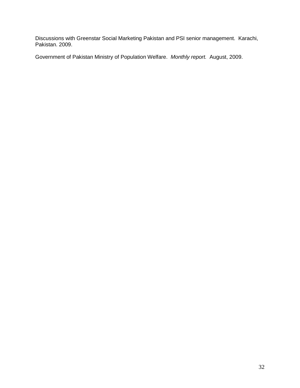Discussions with Greenstar Social Marketing Pakistan and PSI senior management. Karachi, Pakistan. 2009.

Government of Pakistan Ministry of Population Welfare. *Monthly report.* August, 2009.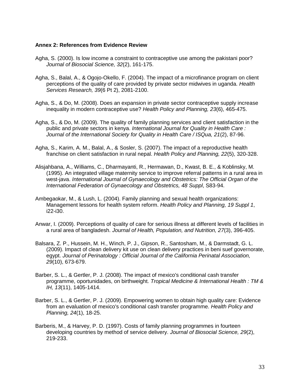#### **Annex 2: References from Evidence Review**

- Agha, S. (2000). Is low income a constraint to contraceptive use among the pakistani poor? *Journal of Biosocial Science, 32*(2), 161-175.
- Agha, S., Balal, A., & Ogojo-Okello, F. (2004). The impact of a microfinance program on client perceptions of the quality of care provided by private sector midwives in uganda. *Health Services Research, 39*(6 Pt 2), 2081-2100.
- Agha, S., & Do, M. (2008). Does an expansion in private sector contraceptive supply increase inequality in modern contraceptive use? *Health Policy and Planning, 23*(6), 465-475.
- Agha, S., & Do, M. (2009). The quality of family planning services and client satisfaction in the public and private sectors in kenya. *International Journal for Quality in Health Care : Journal of the International Society for Quality in Health Care / ISQua, 21*(2), 87-96.
- Agha, S., Karim, A. M., Balal, A., & Sosler, S. (2007). The impact of a reproductive health franchise on client satisfaction in rural nepal. *Health Policy and Planning, 22*(5), 320-328.
- Alisjahbana, A., Williams, C., Dharmayanti, R., Hermawan, D., Kwast, B. E., & Koblinsky, M. (1995). An integrated village maternity service to improve referral patterns in a rural area in west-java. *International Journal of Gynaecology and Obstetrics: The Official Organ of the International Federation of Gynaecology and Obstetrics, 48 Suppl*, S83-94.
- Ambegaokar, M., & Lush, L. (2004). Family planning and sexual health organizations: Management lessons for health system reform. *Health Policy and Planning, 19 Suppl 1*, i22-i30.
- Anwar, I. (2009). Perceptions of quality of care for serious illness at different levels of facilities in a rural area of bangladesh. *Journal of Health, Population, and Nutrition, 27*(3), 396-405.
- Balsara, Z. P., Hussein, M. H., Winch, P. J., Gipson, R., Santosham, M., & Darmstadt, G. L. (2009). Impact of clean delivery kit use on clean delivery practices in beni suef governorate, egypt. *Journal of Perinatology : Official Journal of the California Perinatal Association, 29*(10), 673-679.
- Barber, S. L., & Gertler, P. J. (2008). The impact of mexico's conditional cash transfer programme, oportunidades, on birthweight. *Tropical Medicine & International Health : TM & IH, 13*(11), 1405-1414.
- Barber, S. L., & Gertler, P. J. (2009). Empowering women to obtain high quality care: Evidence from an evaluation of mexico's conditional cash transfer programme. *Health Policy and Planning, 24*(1), 18-25.
- Barberis, M., & Harvey, P. D. (1997). Costs of family planning programmes in fourteen developing countries by method of service delivery. *Journal of Biosocial Science, 29*(2), 219-233.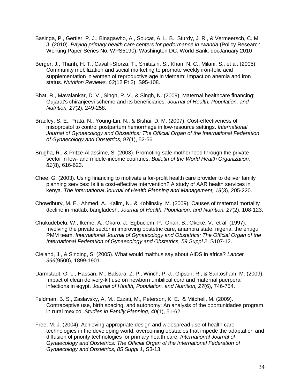- Basinga, P., Gertler, P. J., Binagawho, A., Soucat, A. L. B., Sturdy, J. R., & Vermeersch, C. M. J. (2010). *Paying primary health care centers for performance in rwanda* (Policy Research Working Paper Series No. WPS5190). Washington DC: World Bank. doi:January 2010
- Berger, J., Thanh, H. T., Cavalli-Sforza, T., Smitasiri, S., Khan, N. C., Milani, S., et al. (2005). Community mobilization and social marketing to promote weekly iron-folic acid supplementation in women of reproductive age in vietnam: Impact on anemia and iron status. *Nutrition Reviews, 63*(12 Pt 2), S95-108.
- Bhat, R., Mavalankar, D. V., Singh, P. V., & Singh, N. (2009). Maternal healthcare financing: Gujarat's chiranjeevi scheme and its beneficiaries. *Journal of Health, Population, and Nutrition, 27*(2), 249-258.
- Bradley, S. E., Prata, N., Young-Lin, N., & Bishai, D. M. (2007). Cost-effectiveness of misoprostol to control postpartum hemorrhage in low-resource settings. *International Journal of Gynaecology and Obstetrics: The Official Organ of the International Federation of Gynaecology and Obstetrics, 97*(1), 52-56.
- Brugha, R., & Pritze-Aliassime, S. (2003). Promoting safe motherhood through the private sector in low- and middle-income countries. *Bulletin of the World Health Organization, 81*(8), 616-623.
- Chee, G. (2003). Using financing to motivate a for-profit health care provider to deliver family planning services: Is it a cost-effective intervention? A study of AAR health services in kenya. *The International Journal of Health Planning and Management, 18*(3), 205-220.
- Chowdhury, M. E., Ahmed, A., Kalim, N., & Koblinsky, M. (2009). Causes of maternal mortality decline in matlab, bangladesh. *Journal of Health, Population, and Nutrition, 27*(2), 108-123.
- Chukudebelu, W., Ikeme, A., Okaro, J., Egbuciem, P., Onah, B., Okeke, V., et al. (1997). Involving the private sector in improving obstetric care, anambra state, nigeria. the enugu PMM team. *International Journal of Gynaecology and Obstetrics: The Official Organ of the International Federation of Gynaecology and Obstetrics, 59 Suppl 2*, S107-12.
- Cleland, J., & Sinding, S. (2005). What would malthus say about AIDS in africa? *Lancet, 366*(9500), 1899-1901.
- Darmstadt, G. L., Hassan, M., Balsara, Z. P., Winch, P. J., Gipson, R., & Santosham, M. (2009). Impact of clean delivery-kit use on newborn umbilical cord and maternal puerperal infections in egypt. *Journal of Health, Population, and Nutrition, 27*(6), 746-754.
- Feldman, B. S., Zaslavsky, A. M., Ezzati, M., Peterson, K. E., & Mitchell, M. (2009). Contraceptive use, birth spacing, and autonomy: An analysis of the oportunidades program in rural mexico. *Studies in Family Planning, 40*(1), 51-62.
- Free, M. J. (2004). Achieving appropriate design and widespread use of health care technologies in the developing world. overcoming obstacles that impede the adaptation and diffusion of priority technologies for primary health care. *International Journal of Gynaecology and Obstetrics: The Official Organ of the International Federation of Gynaecology and Obstetrics, 85 Suppl 1*, S3-13.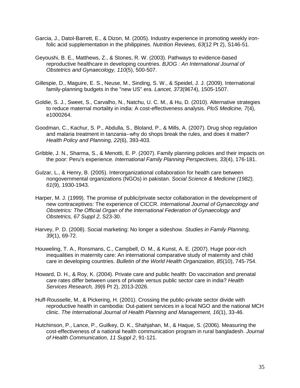- Garcia, J., Datol-Barrett, E., & Dizon, M. (2005). Industry experience in promoting weekly ironfolic acid supplementation in the philippines. *Nutrition Reviews, 63*(12 Pt 2), S146-51.
- Geyoushi, B. E., Matthews, Z., & Stones, R. W. (2003). Pathways to evidence-based reproductive healthcare in developing countries. *BJOG : An International Journal of Obstetrics and Gynaecology, 110*(5), 500-507.
- Gillespie, D., Maguire, E. S., Neuse, M., Sinding, S. W., & Speidel, J. J. (2009). International family-planning budgets in the "new US" era. *Lancet, 373*(9674), 1505-1507.
- Goldie, S. J., Sweet, S., Carvalho, N., Natchu, U. C. M., & Hu, D. (2010). Alternative strategies to reduce maternal mortality in india: A cost-effectiveness analysis. *PloS Medicine, 7*(4), e1000264.
- Goodman, C., Kachur, S. P., Abdulla, S., Bloland, P., & Mills, A. (2007). Drug shop regulation and malaria treatment in tanzania--why do shops break the rules, and does it matter? *Health Policy and Planning, 22*(6), 393-403.
- Gribble, J. N., Sharma, S., & Menotti, E. P. (2007). Family planning policies and their impacts on the poor: Peru's experience. *International Family Planning Perspectives, 33*(4), 176-181.
- Gulzar, L., & Henry, B. (2005). Interorganizational collaboration for health care between nongovernmental organizations (NGOs) in pakistan. *Social Science & Medicine (1982), 61*(9), 1930-1943.
- Harper, M. J. (1999). The promise of public/private sector collaboration in the development of new contraceptives: The experience of CICCR. *International Journal of Gynaecology and Obstetrics: The Official Organ of the International Federation of Gynaecology and Obstetrics, 67 Suppl 2*, S23-30.
- Harvey, P. D. (2008). Social marketing: No longer a sideshow. *Studies in Family Planning, 39*(1), 69-72.
- Houweling, T. A., Ronsmans, C., Campbell, O. M., & Kunst, A. E. (2007). Huge poor-rich inequalities in maternity care: An international comparative study of maternity and child care in developing countries. *Bulletin of the World Health Organization, 85*(10), 745-754.
- Howard, D. H., & Roy, K. (2004). Private care and public health: Do vaccination and prenatal care rates differ between users of private versus public sector care in india? *Health Services Research, 39*(6 Pt 2), 2013-2026.
- Huff-Rousselle, M., & Pickering, H. (2001). Crossing the public-private sector divide with reproductive health in cambodia: Out-patient services in a local NGO and the national MCH clinic. *The International Journal of Health Planning and Management, 16*(1), 33-46.
- Hutchinson, P., Lance, P., Guilkey, D. K., Shahjahan, M., & Haque, S. (2006). Measuring the cost-effectiveness of a national health communication program in rural bangladesh. *Journal of Health Communication, 11 Suppl 2*, 91-121.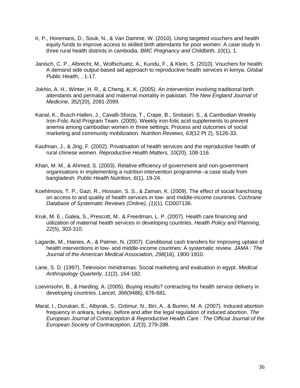- Ir, P., Horemans, D., Souk, N., & Van Damme, W. (2010). Using targeted vouchers and health equity funds to improve access to skilled birth attendants for poor women: A case study in three rural health districts in cambodia. *BMC Pregnancy and Childbirth, 10*(1), 1.
- Janisch, C. P., Albrecht, M., Wolfschuetz, A., Kundu, F., & Klein, S. (2010). Vouchers for health: A demand side output-based aid approach to reproductive health services in kenya. *Global Public Health,* , 1-17.
- Jokhio, A. H., Winter, H. R., & Cheng, K. K. (2005). An intervention involving traditional birth attendants and perinatal and maternal mortality in pakistan. *The New England Journal of Medicine, 352*(20), 2091-2099.
- Kanal, K., Busch-Hallen, J., Cavalli-Sforza, T., Crape, B., Smitasiri, S., & Cambodian Weekly Iron-Folic Acid Program Team. (2005). Weekly iron-folic acid supplements to prevent anemia among cambodian women in three settings: Process and outcomes of social marketing and community mobilization. *Nutrition Reviews, 63*(12 Pt 2), S126-33.
- Kaufman, J., & Jing, F. (2002). Privatisation of health services and the reproductive health of rural chinese women. *Reproductive Health Matters, 10*(20), 108-116.
- Khan, M. M., & Ahmed, S. (2003). Relative efficiency of government and non-government organisations in implementing a nutrition intervention programme--a case study from bangladesh. *Public Health Nutrition, 6*(1), 19-24.
- Koehlmoos, T. P., Gazi, R., Hossain, S. S., & Zaman, K. (2009). The effect of social franchising on access to and quality of health services in low- and middle-income countries. *Cochrane Database of Systematic Reviews (Online), (1)*(1), CD007136.
- Kruk, M. E., Galea, S., Prescott, M., & Freedman, L. P. (2007). Health care financing and utilization of maternal health services in developing countries. *Health Policy and Planning, 22*(5), 303-310.
- Lagarde, M., Haines, A., & Palmer, N. (2007). Conditional cash transfers for improving uptake of health interventions in low- and middle-income countries: A systematic review. *JAMA : The Journal of the American Medical Association, 298*(16), 1900-1910.
- Lane, S. D. (1997). Television minidramas: Social marketing and evaluation in egypt. *Medical Anthropology Quarterly, 11*(2), 164-182.
- Loevinsohn, B., & Harding, A. (2005). Buying results? contracting for health service delivery in developing countries. *Lancet, 366*(9486), 676-681.
- Maral, I., Durukan, E., Albyrak, S., Oztimur, N., Biri, A., & Bumin, M. A. (2007). Induced abortion frequency in ankara, turkey, before and after the legal regulation of induced abortion. *The European Journal of Contraception & Reproductive Health Care : The Official Journal of the European Society of Contraception, 12*(3), 279-288.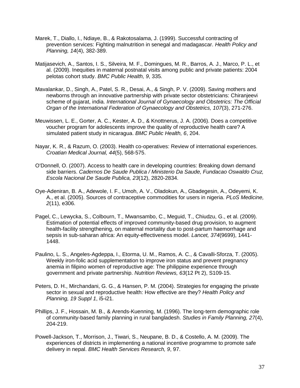- Marek, T., Diallo, I., Ndiaye, B., & Rakotosalama, J. (1999). Successful contracting of prevention services: Fighting malnutrition in senegal and madagascar. *Health Policy and Planning, 14*(4), 382-389.
- Matijasevich, A., Santos, I. S., Silveira, M. F., Domingues, M. R., Barros, A. J., Marco, P. L., et al. (2009). Inequities in maternal postnatal visits among public and private patients: 2004 pelotas cohort study. *BMC Public Health, 9*, 335.
- Mavalankar, D., Singh, A., Patel, S. R., Desai, A., & Singh, P. V. (2009). Saving mothers and newborns through an innovative partnership with private sector obstetricians: Chiranjeevi scheme of gujarat, india. *International Journal of Gynaecology and Obstetrics: The Official Organ of the International Federation of Gynaecology and Obstetrics, 107*(3), 271-276.
- Meuwissen, L. E., Gorter, A. C., Kester, A. D., & Knottnerus, J. A. (2006). Does a competitive voucher program for adolescents improve the quality of reproductive health care? A simulated patient study in nicaragua. *BMC Public Health, 6*, 204.
- Nayar, K. R., & Razum, O. (2003). Health co-operatives: Review of international experiences. *Croatian Medical Journal, 44*(5), 568-575.
- O'Donnell, O. (2007). Access to health care in developing countries: Breaking down demand side barriers. *Cadernos De Saude Publica / Ministerio Da Saude, Fundacao Oswaldo Cruz, Escola Nacional De Saude Publica, 23*(12), 2820-2834.
- Oye-Adeniran, B. A., Adewole, I. F., Umoh, A. V., Oladokun, A., Gbadegesin, A., Odeyemi, K. A., et al. (2005). Sources of contraceptive commodities for users in nigeria. *PLoS Medicine, 2*(11), e306.
- Pagel, C., Lewycka, S., Colbourn, T., Mwansambo, C., Meguid, T., Chiudzu, G., et al. (2009). Estimation of potential effects of improved community-based drug provision, to augment health-facility strengthening, on maternal mortality due to post-partum haemorrhage and sepsis in sub-saharan africa: An equity-effectiveness model. *Lancet, 374*(9699), 1441- 1448.
- Paulino, L. S., Angeles-Agdeppa, I., Etorma, U. M., Ramos, A. C., & Cavalli-Sforza, T. (2005). Weekly iron-folic acid supplementation to improve iron status and prevent pregnancy anemia in filipino women of reproductive age: The philippine experience through government and private partnership. *Nutrition Reviews, 63*(12 Pt 2), S109-15.
- Peters, D. H., Mirchandani, G. G., & Hansen, P. M. (2004). Strategies for engaging the private sector in sexual and reproductive health: How effective are they? *Health Policy and Planning, 19 Suppl 1*, i5-i21.
- Phillips, J. F., Hossain, M. B., & Arends-Kuenning, M. (1996). The long-term demographic role of community-based family planning in rural bangladesh. *Studies in Family Planning, 27*(4), 204-219.
- Powell-Jackson, T., Morrison, J., Tiwari, S., Neupane, B. D., & Costello, A. M. (2009). The experiences of districts in implementing a national incentive programme to promote safe delivery in nepal. *BMC Health Services Research, 9*, 97.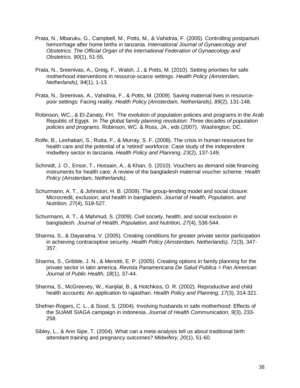- Prata, N., Mbaruku, G., Campbell, M., Potts, M., & Vahidnia, F. (2005). Controlling postpartum hemorrhage after home births in tanzania. *International Journal of Gynaecology and Obstetrics: The Official Organ of the International Federation of Gynaecology and Obstetrics, 90*(1), 51-55.
- Prata, N., Sreenivas, A., Greig, F., Walsh, J., & Potts, M. (2010). Setting priorities for safe motherhood interventions in resource-scarce settings. *Health Policy (Amsterdam, Netherlands), 94*(1), 1-13.
- Prata, N., Sreenivas, A., Vahidnia, F., & Potts, M. (2009). Saving maternal lives in resourcepoor settings: Facing reality. *Health Policy (Amsterdam, Netherlands), 89*(2), 131-148.
- Robinson, WC., & El-Zanaty, FH. The evolution of population policies and programs in the Arab Republic of Egypt. In *The global family planning revolution: Three decades of population policies and programs.* Robinson, WC. & Ross, JA., eds (2007). Washington, DC.
- Rolfe, B., Leshabari, S., Rutta, F., & Murray, S. F. (2008). The crisis in human resources for health care and the potential of a 'retired' workforce: Case study of the independent midwifery sector in tanzania. *Health Policy and Planning, 23*(2), 137-149.
- Schmidt, J. O., Ensor, T., Hossain, A., & Khan, S. (2010). Vouchers as demand side financing instruments for health care: A review of the bangladesh maternal voucher scheme. *Health Policy (Amsterdam, Netherlands),*
- Schurmann, A. T., & Johnston, H. B. (2009). The group-lending model and social closure: Microcredit, exclusion, and health in bangladesh. *Journal of Health, Population, and Nutrition, 27*(4), 518-527.
- Schurmann, A. T., & Mahmud, S. (2009). Civil society, health, and social exclusion in bangladesh. *Journal of Health, Population, and Nutrition, 27*(4), 536-544.
- Sharma, S., & Dayaratna, V. (2005). Creating conditions for greater private sector participation in achieving contraceptive security. *Health Policy (Amsterdam, Netherlands), 71*(3), 347- 357.
- Sharma, S., Gribble, J. N., & Menotti, E. P. (2005). Creating options in family planning for the private sector in latin america. *Revista Panamericana De Salud Publica = Pan American Journal of Public Health, 18*(1), 37-44.
- Sharma, S., McGreevey, W., Kanjilal, B., & Hotchkiss, D. R. (2002). Reproductive and child health accounts: An application to rajasthan. *Health Policy and Planning, 17*(3), 314-321.
- Shefner-Rogers, C. L., & Sood, S. (2004). Involving husbands in safe motherhood: Effects of the SUAMI SIAGA campaign in indonesia. *Journal of Health Communication, 9*(3), 233- 258.
- Sibley, L., & Ann Sipe, T. (2004). What can a meta-analysis tell us about traditional birth attendant training and pregnancy outcomes? *Midwifery, 20*(1), 51-60.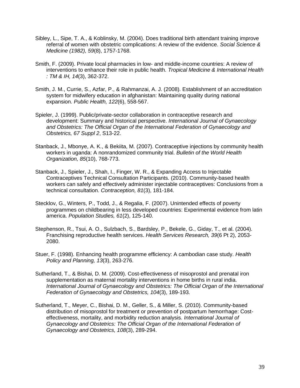- Sibley, L., Sipe, T. A., & Koblinsky, M. (2004). Does traditional birth attendant training improve referral of women with obstetric complications: A review of the evidence. *Social Science & Medicine (1982), 59*(8), 1757-1768.
- Smith, F. (2009). Private local pharmacies in low- and middle-income countries: A review of interventions to enhance their role in public health. *Tropical Medicine & International Health : TM & IH, 14*(3), 362-372.
- Smith, J. M., Currie, S., Azfar, P., & Rahmanzai, A. J. (2008). Establishment of an accreditation system for midwifery education in afghanistan: Maintaining quality during national expansion. *Public Health, 122*(6), 558-567.
- Spieler, J. (1999). Public/private-sector collaboration in contraceptive research and development: Summary and historical perspective. *International Journal of Gynaecology and Obstetrics: The Official Organ of the International Federation of Gynaecology and Obstetrics, 67 Suppl 2*, S13-22.
- Stanback, J., Mbonye, A. K., & Bekiita, M. (2007). Contraceptive injections by community health workers in uganda: A nonrandomized community trial. *Bulletin of the World Health Organization, 85*(10), 768-773.
- Stanback, J., Spieler, J., Shah, I., Finger, W. R., & Expanding Access to Injectable Contraceptives Technical Consultation Participants. (2010). Community-based health workers can safely and effectively administer injectable contraceptives: Conclusions from a technical consultation. *Contraception, 81*(3), 181-184.
- Stecklov, G., Winters, P., Todd, J., & Regalia, F. (2007). Unintended effects of poverty programmes on childbearing in less developed countries: Experimental evidence from latin america. *Population Studies, 61*(2), 125-140.
- Stephenson, R., Tsui, A. O., Sulzbach, S., Bardsley, P., Bekele, G., Giday, T., et al. (2004). Franchising reproductive health services. *Health Services Research, 39*(6 Pt 2), 2053- 2080.
- Stuer, F. (1998). Enhancing health programme efficiency: A cambodian case study. *Health Policy and Planning, 13*(3), 263-276.
- Sutherland, T., & Bishai, D. M. (2009). Cost-effectiveness of misoprostol and prenatal iron supplementation as maternal mortality interventions in home births in rural india. *International Journal of Gynaecology and Obstetrics: The Official Organ of the International Federation of Gynaecology and Obstetrics, 104*(3), 189-193.
- Sutherland, T., Meyer, C., Bishai, D. M., Geller, S., & Miller, S. (2010). Community-based distribution of misoprostol for treatment or prevention of postpartum hemorrhage: Costeffectiveness, mortality, and morbidity reduction analysis. *International Journal of Gynaecology and Obstetrics: The Official Organ of the International Federation of Gynaecology and Obstetrics, 108*(3), 289-294.